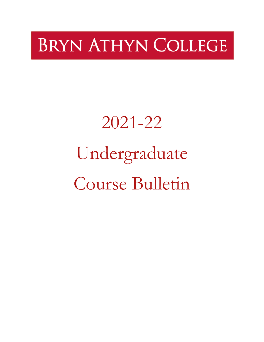# **BRYN ATHYN COLLEGE**

# 2021-22 Undergraduate Course Bulletin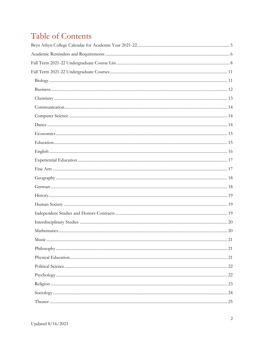# Table of Contents

| $\text{Mathematics}.\textcolor{red}{\text{min}\dots\text{min}\dots\text{min}\dots\text{min}\dots\text{min}\dots\text{min}\dots\text{min}\dots\text{min}\dots\text{min}\dots\text{min}\dots\text{min}\dots\text{min}\dots\text{min}\dots\text{min}\dots\text{min}\dots\text{min}\dots\text{min}\dots\text{min}\dots\text{min}\dots\text{min}\dots\text{min}\dots\text{min}\dots\text{min}\dots\text{min}\dots\text{min}\dots\text{min}\dots\text{min}\dots\text{min}\dots\text{min}\dots\text{min}\dots\text{min}\dots\text{min}\dots\text{min}\dots\text{min}\dots\text{min$ |  |
|------------------------------------------------------------------------------------------------------------------------------------------------------------------------------------------------------------------------------------------------------------------------------------------------------------------------------------------------------------------------------------------------------------------------------------------------------------------------------------------------------------------------------------------------------------------------------|--|
|                                                                                                                                                                                                                                                                                                                                                                                                                                                                                                                                                                              |  |
|                                                                                                                                                                                                                                                                                                                                                                                                                                                                                                                                                                              |  |
|                                                                                                                                                                                                                                                                                                                                                                                                                                                                                                                                                                              |  |
|                                                                                                                                                                                                                                                                                                                                                                                                                                                                                                                                                                              |  |
|                                                                                                                                                                                                                                                                                                                                                                                                                                                                                                                                                                              |  |
|                                                                                                                                                                                                                                                                                                                                                                                                                                                                                                                                                                              |  |
|                                                                                                                                                                                                                                                                                                                                                                                                                                                                                                                                                                              |  |
|                                                                                                                                                                                                                                                                                                                                                                                                                                                                                                                                                                              |  |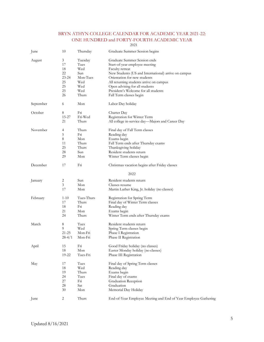### BRYN ATHYN COLLEGE CALENDAR FOR ACADEMIC YEAR 2021-22: ONE HUNDRED and FORTY-FOURTH ACADEMIC YEAR

2021

<span id="page-4-0"></span>

| June      | 10         | Thursday   | Graduate Summer Session begins                                  |
|-----------|------------|------------|-----------------------------------------------------------------|
| August    | 3          | Tuesday    | Graduate Summer Session ends                                    |
|           | 17         | Tues       | Start-of-year employee meeting                                  |
|           | 18         | Wed        | Faculty retreat                                                 |
|           | 22         | Sun        | New Students (US and International) arrive on campus            |
|           | $23 - 24$  | Mon-Tues   | Orientation for new students                                    |
|           | 25         | Wed        | All returning students arrive on campus                         |
|           | 25         | Wed        | Open advising for all students                                  |
|           | 25         | Wed        | President's Welcome for all students                            |
|           | 26         | Thurs      | Fall Term classes begin                                         |
| September | 6          | Mon        | Labor Day holiday                                               |
| October   | 8          | Fri        | Charter Day                                                     |
|           | 15-27      | Fri-Wed    | Registration for Winter Term                                    |
|           | 21         | Thurs      | All college in-service day—Majors and Career Day                |
| November  | 4          | Thurs      | Final day of Fall Term classes                                  |
|           | 5          | Fri        | Reading day                                                     |
|           | 8          | Mon        | Exams begin                                                     |
|           | 11         | Thurs      | Fall Term ends after Thursday exams                             |
|           | 25         | Thurs      | Thanksgiving holiday                                            |
|           | 28         | Sun        | Resident students return                                        |
|           | 29         | Mon        | Winter Term classes begin                                       |
| December  | 17         | Fri        | Christmas vacation begins after Friday classes                  |
|           |            |            | 2022                                                            |
| January   | 2          | Sun        | Resident students return                                        |
|           | 3          | Mon        | Classes resume                                                  |
|           | 17         | Mon        | Martin Luther King, Jr. holiday (no classes)                    |
| February  | $1-10$     | Tues-Thurs | Registration for Spring Term                                    |
|           | 17         | Thurs      | Final day of Winter Term classes                                |
|           | 18         | Fn         | Reading day                                                     |
|           | 21         | Mon        | Exams begin                                                     |
|           | 24         | Thurs      | Winter Term ends after Thursday exams                           |
| March     | 8          | Tues       | Resident students return                                        |
|           | 9          | Wed        | Spring Term classes begin                                       |
|           | 21-25      | Mon-Fri    | Phase I Registration                                            |
|           | $28 - 4/1$ | Mon-Fri    | Phase II Registration                                           |
| April     | 15         | Fri        | Good Friday holiday (no classes)                                |
|           | 18         | Mon        | Easter Monday holiday (no classes)                              |
|           | 19-22      | Tues-Fri   | Phase III Registration                                          |
| May       | 17         | Tues       | Final day of Spring Term classes                                |
|           | 18         | Wed        | Reading day                                                     |
|           | 19         | Thurs      | Exams begin                                                     |
|           | 24         | Tues       | Final day of exams                                              |
|           | 27         | Fri        | <b>Graduation Reception</b>                                     |
|           | 28         | Sat        | Graduation                                                      |
|           | 30         | Mon        | Memorial Day Holiday                                            |
| June      | 2          | Thurs      | End-of-Year Employee Meeting and End of Year Employee Gathering |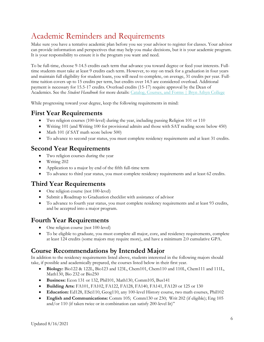# <span id="page-5-0"></span>Academic Reminders and Requirements

Make sure you have a tentative academic plan before you see your advisor to register for classes. Your advisor can provide information and perspectives that may help you make decisions, but it is your academic program. It is your responsibility to ensure it is the program you want and need.

To be full-time, choose 9-14.5 credits each term that advance you toward degree or feed your interests. Fulltime students must take at least 9 credits each term. However, to stay on track for a graduation in four years and maintain full eligibility for student loans, you will need to complete, on average, 31 credits per year. Fulltime tuition covers up to 15 credits per term, but credits over 14.5 are considered overload. Additional payment is necessary for 15.5-17 credits. Overload credits (15-17) require approval by the Dean of Academics. See the *Student Handbook* for more details: [Catalog, Courses, and Forms | Bryn Athyn College](https://brynathyn.edu/academics/catalog-courses-and-forms/index.html)

While progressing toward your degree, keep the following requirements in mind:

### **First Year Requirements**

- Two religion courses (100-level) during the year, including passing Religion 101 or 110
- Writing 101 (and Writing 100 for provisional admits and those with SAT reading score below 450)
- Math 101 (if SAT math score below 500)
- To advance to second year status, you must complete residency requirements and at least 31 credits.

### **Second Year Requirements**

- Two religion courses during the year
- Writing 202
- Application to a major by end of the fifth full-time term
- To advance to third year status, you must complete residency requirements and at least 62 credits.

### **Third Year Requirements**

- One religion course (not 100-level)
- Submit a Roadmap to Graduation checklist with assistance of advisor
- To advance to fourth year status, you must complete residency requirements and at least 93 credits, and be accepted into a major program.

### **Fourth Year Requirements**

- One religion course (not 100-level)
- To be eligible to graduate, you must complete all major, core, and residency requirements, complete at least 124 credits (some majors may require more), and have a minimum 2.0 cumulative GPA.

### **Course Recommendations by Intended Major**

In addition to the residency requirements listed above, students interested in the following majors should take, if possible and academically prepared, the courses listed below in their first year.

- **Biology:** Bio122 & 122L, Bio123 and 123L, Chem101, Chem110 and 110L, Chem111 and 111L, Math130, Bio 232 or Bio250
- **Business:** Econ 131 or 132, Phil101, Math130, Comm105, Bus141
- **Building Arts:** FA101, FA102, FA122, FA128, FA140, FA141, FA120 or 125 or 130
- **Education:** Ed128, ESci110, Geog110, any 100-level History course, two math courses, Phil102
- **English and Communications:** Comm 105; Comm130 or 230; Writ 202 (if eligible); Eng 105 and/or 110 (if taken twice or in combination can satisfy 200-level lit)"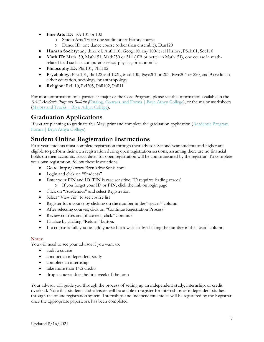- **Fine Arts ID:** FA 101 or 102
	- o Studio Arts Track: one studio or art history course
	- o Dance ID: one dance course (other than ensemble), Dan120
- **Human Society:** any three of: Anth110, Geog110, any 100-level History, PSci101, Soc110
- Math ID: Math150, Math151, Math250 or 311 (if B or better in Math151), one course in mathrelated field such as computer science, physics, or economics
- **Philosophy ID:** Phil101, Phil102
- **Psychology:** Psyc101, Bio122 and 122L, Math130, Psyc201 or 203, Psyc204 or 220, and 9 credits in either education, sociology, or anthropology
- **Religion:** Rel110, Rel205, Phil102, Phil11

For more information on a particular major or the Core Program, please see the information available in the *BAC Academic Programs Bulletin (*[Catalog, Courses, and Forms | Bryn Athyn College\)](https://brynathyn.edu/academics/catalog-courses-and-forms/index.html), or the major worksheets [\(Majors and Tracks | Bryn Athyn College\)](https://brynathyn.edu/academics/undergraduate/majors.html).

### **Graduation Applications**

If you are planning to graduate this May, print and complete the graduation application [\(Academic Program](https://brynathyn.edu/academics/undergraduate/major-and-minor-forms.html)  [Forms | Bryn Athyn College\)](https://brynathyn.edu/academics/undergraduate/major-and-minor-forms.html).

### **Student Online Registration Instructions**

First-year students must complete registration through their advisor. Second-year students and higher are eligible to perform their own registration during open registration sessions, assuming there are no financial holds on their accounts. Exact dates for open registration will be communicated by the registrar. To complete your own registration, follow these instructions

- Go to: https://www.BrynAthynSonis.com
- Login and click on "Students"
- Enter your PIN and ID (PIN is case sensitive, ID requires leading zeroes) o If you forget your ID or PIN, click the link on login page
- Click on "Academics" and select Registration
- Select "View All" to see course list
- Register for a course by clicking on the number in the "spaces" column
- After selecting courses, click on "Continue Registration Process"
- Review courses and, if correct, click "Continue"
- Finalize by clicking "Return" button.
- If a course is full, you can add yourself to a wait list by clicking the number in the "wait" column

### Notes:

You will need to see your advisor if you want to:

- audit a course
- conduct an independent study
- complete an internship
- take more than 14.5 credits
- drop a course after the first week of the term

Your advisor will guide you through the process of setting up an independent study, internship, or credit overload. Note that students and advisors will be unable to register for internships or independent studies through the online registration system. Internships and independent studies will be registered by the Registrar once the appropriate paperwork has been completed.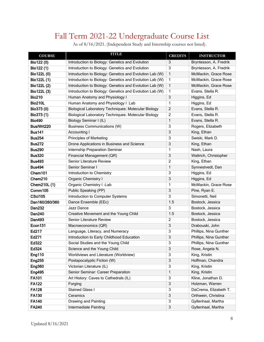# Fall Term 2021-22 Undergraduate Course List

|  | As of 8/16/2021. (Independent Study and Internship courses not listed). |
|--|-------------------------------------------------------------------------|
|  |                                                                         |

<span id="page-7-0"></span>

| <b>COURSE</b>  | TITLE                                                      | <b>CREDITS</b> | <b>INSTRUCTOR</b>      |
|----------------|------------------------------------------------------------|----------------|------------------------|
| Bio122 (0)     | Introduction to Biology: Genetics and Evolution            | 3              | Bryntesson, A. Fredrik |
| Bio122 (1)     | Introduction to Biology: Genetics and Evolution            | $\overline{3}$ | Bryntesson, A. Fredrik |
| Bio122L (0)    | Introduction to Biology: Genetics and Evolution Lab (W)    | $\mathbf{1}$   | McMackin, Grace Rose   |
| Bio122L (1)    | Introduction to Biology: Genetics and Evolution Lab (W)    | 1              | McMackin, Grace Rose   |
| Bio122L (2)    | Introduction to Biology: Genetics and Evolution Lab (W)    | $\mathbf{1}$   | McMackin, Grace Rose   |
| Bio122L (3)    | Introduction to Biology: Genetics and Evolution Lab (W)    | 1              | Evans, Stella R.       |
| <b>Bio210</b>  | Human Anatomy and Physiology I                             | 3              | Higgins, Ed            |
| <b>Bio210L</b> | Human Anatomy and Physiology I Lab                         | 1              | Higgins, Ed            |
| Bio373 (0)     | <b>Biological Laboratory Techniques: Molecular Biology</b> | $\overline{2}$ | Evans, Stella R.       |
| Bio373 (1)     | <b>Biological Laboratory Techniques: Molecular Biology</b> | $\overline{2}$ | Evans, Stella R.       |
| <b>Bio490</b>  | Biology Seminar I (IL)                                     | 1              | Evans, Stella R.       |
| Bus/Wrt220     | <b>Business Communications (W)</b>                         | 3              | Rogers, Elizabeth      |
| <b>Bus141</b>  | Accounting I                                               | 3              | King, Ethan            |
| <b>Bus254</b>  | <b>Principles of Marketing</b>                             | 3              | Swiski, Mark D.        |
| <b>Bus272</b>  | Drone Applications in Business and Science                 | $\overline{3}$ | King, Ethan            |
| <b>Bus290</b>  | Internship Preparation Seminar                             | 1              | Nash, Laura            |
| <b>Bus320</b>  | Financial Management (QR)                                  | $\sqrt{3}$     | Waltrich, Christopher  |
| <b>Bus493</b>  | Senior Literature Review                                   | $\overline{2}$ | King, Ethan            |
| <b>Bus494</b>  | Senior Seminar I                                           | 1              | Synnestvedt, Dan       |
| Chem101        | <b>Introduction to Chemistry</b>                           | 3              | Higgins, Ed            |
| Chem210        | Organic Chemistry I                                        | 3              | Higgins, Ed            |
| Chem210L (1)   | Organic Chemistry I -Lab                                   | 1              | McMackin, Grace Rose   |
| Comm105        | Public Speaking (PP)                                       | $\overline{3}$ | Pine, Ryan E.          |
| <b>CSci105</b> | Introduction to Computer Systems                           | 3              | Simonetti, Neil        |
| Dan160/260/360 | Dance Ensemble (EEc)                                       | 1.5            | Bostock, Jessica       |
| <b>Dan232</b>  | Jazz Dance                                                 | $\overline{3}$ | Bostock, Jessica       |
| <b>Dan240</b>  | Creative Movement and the Young Child                      | 1.5            | Bostock, Jessica       |
| <b>Dan493</b>  | <b>Senior Literature Review</b>                            | 2              | Bostock, Jessica       |
| Econ131        | Macroeconomics (QR)                                        | $\overline{3}$ | Drabouski, John        |
| Ed217          | Language, Literacy, and Numeracy                           | 3              | Phillips, Nina Gunther |
| Ed271          | Introduction to Early Childhood Education                  | 3              | Phillips, Nina Gunther |
| Ed322          | Social Studies and the Young Child                         | 3              | Phillips, Nina Gunther |
| Ed324          | Science and the Young Child                                | $\sqrt{3}$     | Rose, Angela N.        |
| <b>Eng110</b>  | Worldviews and Literature (Worldview)                      | 3              | King, Kristin          |
| <b>Eng255</b>  | Postapocalyptic Fiction (W)                                | $\overline{3}$ | Hoffman, Chandra       |
| <b>Eng360</b>  | Victorian Literature (IL)                                  | $\overline{3}$ | King, Kristin          |
| <b>Eng495</b>  | Senior Seminar: Career Preparation                         | 1              | King, Kristin          |
| <b>FA101</b>   | Art History: Caves to Cathedrals (IL)                      | $\overline{3}$ | Kline, Jonathan D.     |
| <b>FA122</b>   | Forging                                                    | $\overline{3}$ | Holzman, Warren        |
| <b>FA128</b>   | Stained Glass I                                            | $\overline{3}$ | DaCrema, Elizabeth T.  |
| <b>FA130</b>   | Ceramics                                                   | $\overline{3}$ | Orthwein, Christina    |
| <b>FA140</b>   | Drawing and Painting                                       | $\overline{3}$ | Gyllenhaal, Martha     |
| <b>FA240</b>   | Intermediate Painting                                      | $\overline{3}$ | Gyllenhaal, Martha     |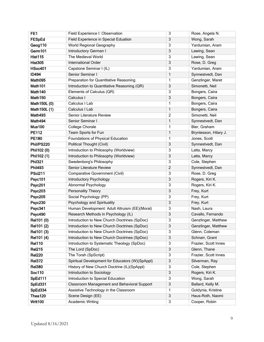| FE <sub>1</sub>     | Field Experience I: Observation                 | 3              | Rose, Angela N.       |
|---------------------|-------------------------------------------------|----------------|-----------------------|
| <b>FESpEd</b>       | Field Experience in Special Eduation            | 3              | Wong, Sarah           |
| Geog110             | World Regional Geography                        | 3              | Yardumian, Aram       |
| Germ101             | Introductory German I                           | 3              | Lawing, Sean          |
| <b>Hist115</b>      | The Medieval World                              | 3              | Lawing, Sean          |
| <b>Hist305</b>      | International Order                             | 3              | Rose, D. Greg         |
| <b>HSoc401</b>      | Capstone Seminar I (IL)                         | 3              | Yardumian, Aram       |
| <b>ID494</b>        | Senior Seminar I                                | 1              | Synnestvedt, Dan      |
| Math095             | Preparation for Quantitative Reasoning          | 1              | Genzlinger, Maret     |
| Math101             | Introduction to Quantitative Reasoning (QR)     | 3              | Simonetti, Neil       |
| Math <sub>140</sub> | Elements of Calculus (QR)                       | 3              | Bongers, Caira        |
| Math <sub>150</sub> | Calculus I                                      | 3              | Bongers, Caira        |
| Math150L (0)        | Calculus I Lab                                  | 1              | Bongers, Caira        |
| Math150L (1)        | Calculus I Lab                                  | 1              | Bongers, Caira        |
| Math493             | Senior Literature Review                        | $\overline{c}$ | Simonetti, Neil       |
| Math494             | Senior Seminar I                                | 1              | Synnestvedt, Dan      |
| <b>Mus100</b>       | <b>College Chorale</b>                          | 1              | Bier, Graham          |
| <b>PE112</b>        | Team Sports for Fun                             | 1              | Bryntesson, Hilary J. |
| <b>PE180</b>        | Foundations of Physical Education               | 1              | Jones, Scott          |
| Phil/PS220          | <b>Political Thought (Civil)</b>                | 3              | Synnestvedt, Dan      |
| Phil102 (0)         | Introduction to Philosophy (Worldview)          | 3              | Latta, Marcy          |
| Phil102 (1)         | Introduction to Philosophy (Worldview)          | 3              | Latta, Marcy          |
| <b>Phil321</b>      | Swedenborg's Philosophy                         | 3              | Cole, Stephen         |
| <b>Phil493</b>      | Senior Literature Review                        | $\overline{c}$ | Synnestvedt, Dan      |
| <b>PSci211</b>      | <b>Comparative Government (Civil)</b>           | 3              | Rose, D. Greg         |
| Psyc101             | Introductory Psychology                         | 3              | Rogers, Kiri K.       |
| <b>Psyc201</b>      | Abnormal Psychology                             | 3              | Rogers, Kiri K.       |
| <b>Psyc203</b>      | Personality Theory                              | 3              | Frey, Kurt            |
| <b>Psyc205</b>      | Social Psychology (PP)                          | 3              | Frey, Kurt            |
| <b>Psyc230</b>      | Psychology and Spirituality                     | 3              | Frey, Kurt            |
| Psyc341             | Human Development: Adult Altruism (EE)(Moral)   | 3              | Nash, Laura           |
| Psyc490             | Research Methods in Psychology (IL)             | 3              | Cavallo, Fernando     |
| Rel101 (0)          | Introduction to New Church Doctrines (SpDoc)    | 3              | Genzlinger, Matthew   |
| Rel101 (2)          | Introduction to New Church Doctrines (SpDoc)    | 3              | Genzlinger, Matthew   |
| Rel101 (3)          | Introduction to New Church Doctrines (SpDoc)    | 3              | Glenn, Coleman        |
| Rel101 (4)          | Introduction to New Church Doctrines (SpDoc)    | 3              | Schnarr, Grant        |
| <b>Rel110</b>       | Introduction to Systematic Theology (SpDoc)     | 3              | Frazier, Scott Innes  |
| <b>Rel215</b>       | The Lord (SpDoc)                                | 3              | Glenn, Thane          |
| <b>Rel220</b>       | The Torah (SpScript)                            | 3              | Frazier, Scott Innes  |
| <b>Rel372</b>       | Spiritual Development for Educators (W)(SpAppl) | 3              | Silverman, Ray        |
| <b>Rel380</b>       | History of New Church Doctrine (IL)(SpAppl)     | 3              | Cole, Stephen         |
| Soc110              | Introduction to Sociology                       | 3              | Rogers, Kiri K.       |
| SpEd111             | Introduction to Special Education               | 3              | Wong, Sarah           |
| SpEd331             | Classroom Management and Behavioral Support     | 3              | Ballard, Kelly M.     |
| SpEd334             | Assistive Technology in the Classroom           | 1              | Goldynia, Kristine    |
| Thea120             | Scene Design (EE)                               | 3              | Haus-Roth, Naomi      |
| Writ100             | <b>Academic Writing</b>                         | 3              | Cooper, Robin         |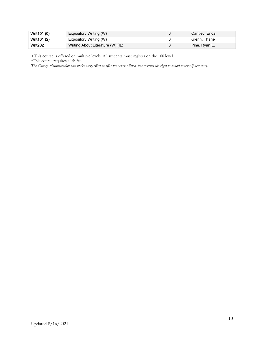| Writ101 (0)    | <b>Expository Writing (W)</b>     | Cantley, Erica |
|----------------|-----------------------------------|----------------|
| Writ101 (2)    | Expository Writing (W)            | Glenn. Thane   |
| <b>Writ202</b> | Writing About Literature (W) (IL) | Pine, Ryan E.  |

+This course is offered on multiple levels. All students must register on the 100 level.

\*This course requires a lab fee.

*The College administration will make every effort to offer the courses listed, but reserves the right to cancel courses if necessary.*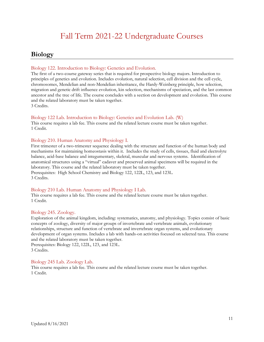# Fall Term 2021-22 Undergraduate Courses

### <span id="page-10-1"></span><span id="page-10-0"></span>**Biology**

### Biology 122. Introduction to Biology: Genetics and Evolution.

The first of a two-course gateway series that is required for prospective biology majors. Introduction to principles of genetics and evolution. Includes evolution, natural selection, cell division and the cell cycle, chromosomes, Mendelian and non-Mendelian inheritance, the Hardy-Weinberg principle, how selection, migration and genetic drift influence evolution, kin selection, mechanisms of speciation, and the last common ancestor and the tree of life. The course concludes with a section on development and evolution. This course and the related laboratory must be taken together.

3 Credits.

### Biology 122 Lab. Introduction to Biology: Genetics and Evolution Lab. (W)

This course requires a lab fee. This course and the related lecture course must be taken together. 1 Credit.

### Biology 210. Human Anatomy and Physiology I.

First trimester of a two-trimester sequence dealing with the structure and function of the human body and mechanisms for maintaining homeostasis within it. Includes the study of cells, tissues, fluid and electrolyte balance, acid-base balance and integumentary, skeletal, muscular and nervous systems. Identification of anatomical structures using a "virtual" cadaver and preserved animal specimens will be required in the laboratory. This course and the related laboratory must be taken together. Prerequisites: High School Chemistry and Biology 122, 122L, 123, and 123L. 3 Credits.

### Biology 210 Lab. Human Anatomy and Physiology I Lab.

This course requires a lab fee. This course and the related lecture course must be taken together. 1 Credit.

### Biology 245. Zoology.

Exploration of the animal kingdom, including: systematics, anatomy, and physiology. Topics consist of basic concepts of zoology, diversity of major groups of invertebrate and vertebrate animals, evolutionary relationships, structure and function of vertebrate and invertebrate organ systems, and evolutionary development of organ systems. Includes a lab with hands-on activities focused on selected taxa. This course and the related laboratory must be taken together.

Prerequisites: Biology 122, 122L, 123, and 123L. 3 Credits.

### Biology 245 Lab. Zoology Lab.

This course requires a lab fee. This course and the related lecture course must be taken together. 1 Credit.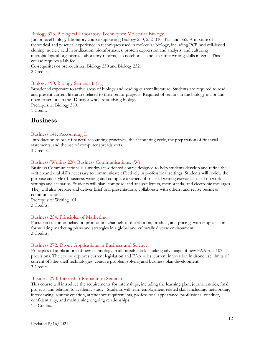### Biology 373. Biological Laboratory Techniques: Molecular Biology.

Junior level biology laboratory course supporting Biology 230, 232, 310, 315, and 355. A mixture of theoretical and practical experience in techniques used in molecular biology, including PCR and cell-based cloning, nucleic acid hybridization, bioinformatics, protein expression and analysis, and culturing microbiological organisms. Laboratory reports, lab notebooks, and scientific writing skills integral. This course requires a lab fee.

Co-requisites or prerequisites: Biology 230 and Biology 232. 2 Credits.

### Biology 490. Biology Seminar I. (IL)

Broadened exposure to active areas of biology and reading current literature. Students are required to read and present current literature related to their senior projects. Required of seniors in the biology major and open to seniors in the ID major who are studying biology.

Prerequisite: Biology 380.

1 Credit.

### <span id="page-11-0"></span>**Business**

### Business 141. Accounting I.

Introduction to basic financial accounting principles, the accounting cycle, the preparation of financial statements, and the use of computer spreadsheets. 3 Credits.

### Business/Writing 220. Business Communications. (W)

Business Communications is a workplace-oriented course designed to help students develop and refine the written and oral skills necessary to communicate effectively in professional settings. Students will review the purpose and style of business writing and complete a variety of focused writing exercises based on work settings and scenarios. Students will plan, compose, and analyze letters, memoranda, and electronic messages. They will also prepare and deliver brief oral presentations, collaborate with others, and revise business communication.

Prerequisite: Writing 101. 3 Credits.

#### Business 254. Principles of Marketing.

Focus on customer behavior, promotion, channels of distribution, product, and pricing, with emphasis on formulating marketing plans and strategies in a global and culturally diverse environment. 3 Credits.

#### Business 272. Drone Applications in Business and Science.

Principles of applications of new technology in all possible fields, taking advantage of new FAA rule 107 provisions. The course explores current legislation and FAA rules, current innovation in drone use, limits of current off-the-shelf technologies, creative problem solving and business plan development. 3 Credits.

#### Business 290. Internship Preparation Seminar.

This course will introduce the requirements for internships, including the learning plan, journal entries, final projects, and relation to academic study. Students will learn employment related skills including: networking, interviewing, resume creation, attendance requirements, professional appearance, professional conduct, confidentiality, and maintaining ongoing relationships. 1.5 Credits.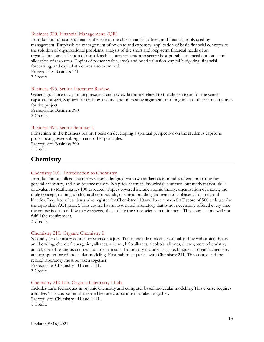#### Business 320. Financial Management. (QR)

Introduction to business finance, the role of the chief financial officer, and financial tools used by management. Emphasis on management of revenue and expenses, application of basic financial concepts to the solution of organizational problems, analysis of the short and long-term financial needs of an organization, and selection of most feasible course of action to secure best possible financial outcome and allocation of resources. Topics of present value, stock and bond valuation, capital budgeting, financial forecasting, and capital structures also examined. Prerequisite: Business 141.

3 Credits.

#### Business 493. Senior Literature Review.

General guidance in continuing research and review literature related to the chosen topic for the senior capstone project, Support for crafting a sound and interesting argument, resulting in an outline of main points for the project.

Prerequisite: Business 390. 2 Credits.

#### Business 494. Senior Seminar I.

For seniors in the Business Major. Focus on developing a spiritual perspective on the student's capstone project using Swedenborgian and other principles.

Prerequisite: Business 390. 1 Credit.

### <span id="page-12-0"></span>**Chemistry**

### Chemistry 101. Introduction to Chemistry.

Introduction to college chemistry. Course designed with two audiences in mind-students preparing for general chemistry, and non-science majors. No prior chemical knowledge assumed, but mathematical skills equivalent to Mathematics 100 expected. Topics covered include atomic theory, organization of matter, the mole concept, naming of chemical compounds, chemical bonding and reactions, phases of matter, and kinetics. Required of students who register for Chemistry 110 and have a math SAT score of 500 or lower (or the equivalent ACT score). This course has an associated laboratory that is not necessarily offered every time the course is offered. *When taken together,* they satisfy the Core science requirement. This course alone will not fulfill the requirement.

3 Credits.

### Chemistry 210. Organic Chemistry I.

Second year chemistry course for science majors. Topics include molecular orbital and hybrid orbital theory and bonding, chemical energetics, alkanes, alkenes, halo alkanes, alcohols, alkynes, dienes, stereochemistry, and classes of reactions and reaction mechanisms. Laboratory includes basic techniques in organic chemistry and computer based molecular modeling. First half of sequence with Chemistry 211. This course and the related laboratory must be taken together.

Prerequisite: Chemistry 111 and 111L. 3 Credits.

### Chemistry 210 Lab. Organic Chemistry I Lab.

Includes basic techniques in organic chemistry and computer based molecular modeling. This course requires a lab fee. This course and the related lecture course must be taken together. Prerequisite: Chemistry 111 and 111L. 1 Credit.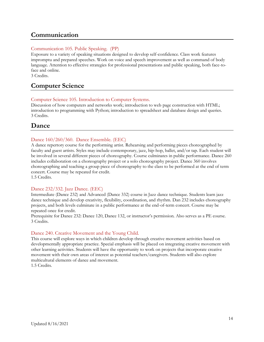### <span id="page-13-0"></span>**Communication**

### Communication 105. Public Speaking. (PP)

Exposure to a variety of speaking situations designed to develop self-confidence. Class work features impromptu and prepared speeches. Work on voice and speech improvement as well as command of body language. Attention to effective strategies for professional presentations and public speaking, both face-toface and online.

3 Credits.

### <span id="page-13-1"></span>**Computer Science**

### Computer Science 105. Introduction to Computer Systems.

Discussion of how computers and networks work; introduction to web page construction with HTML; introduction to programming with Python; introduction to spreadsheet and database design and queries. 3 Credits.

### <span id="page-13-2"></span>**Dance**

### Dance 160/260/360. Dance Ensemble. (EEC)

A dance repertory course for the performing artist. Rehearsing and performing pieces choreographed by faculty and guest artists. Styles may include contemporary, jazz, hip-hop, ballet, and/or tap. Each student will be involved in several different pieces of choreography. Course culminates in public performance. Dance 260 includes collaboration on a choreography project or a solo choreography project. Dance 360 involves choreographing and teaching a group piece of choreography to the class to be performed at the end of term concert. Course may be repeated for credit. 1.5 Credits.

### Dance 232/332. Jazz Dance. (EEC)

Intermediate (Dance 232) and Advanced (Dance 332) course in Jazz dance technique. Students learn jazz dance technique and develop creativity, flexibility, coordination, and rhythm. Dan 232 includes choreography projects, and both levels culminate in a public performance at the end-of-term concert. Course may be repeated once for credit.

Prerequisite for Dance 232: Dance 120, Dance 132, or instructor's permission. Also serves as a PE course. 3 Credits.

### Dance 240. Creative Movement and the Young Child.

This course will explore ways in which children develop through creative movement activities based on developmentally appropriate practice. Special emphasis will be placed on integrating creative movement with other learning activities. Students will have the opportunity to work on projects that incorporate creative movement with their own areas of interest as potential teachers/caregivers. Students will also explore multicultural elements of dance and movement. 1.5 Credits.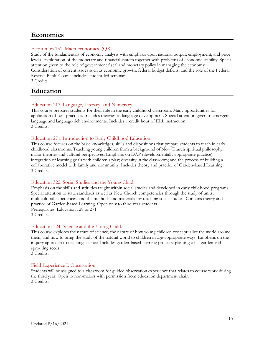### <span id="page-14-0"></span>**Economics**

### Economics 131. Macroeconomics. (QR)

Study of the fundamentals of economic analysis with emphasis upon national output, employment, and price levels. Exploration of the monetary and financial system together with problems of economic stability. Special attention given to the role of government fiscal and monetary policy in managing the economy. Consideration of current issues such as economic growth, federal budget deficits, and the role of the Federal Reserve Bank. Course includes student-led seminars. 3 Credits.

### <span id="page-14-1"></span>**Education**

### Education 217. Language, Literacy, and Numeracy.

This course prepares students for their role in the early childhood classroom. Many opportunities for application of best practices. Includes theories of language development. Special attention given to emergent language and language-rich environments. Includes 1 credit hour of ELL instruction. 3 Credits.

### Education 271. Introduction to Early Childhood Education.

This course focuses on the basic knowledges, skills and dispositions that prepare students to teach in early childhood classrooms. Teaching young children from a background of New Church spiritual philosophy, major theories and cultural perspectives. Emphasis on DAP (developmentally appropriate practice); integration of learning goals with children's play; diversity in the classroom; and the process of building a collaborative model with family and community. Includes theory and practice of Garden-based Learning. 3 Credits.

### Education 322. Social Studies and the Young Child.

Emphasis on the skills and attitudes taught within social studies and developed in early childhood programs. Special attention to state standards as well as New Church competencies through the study of units, multicultural experiences, and the methods and materials for teaching social studies. Contains theory and practice of Garden-based Learning. Open only to third year students. Prerequisites: Education 128 or 271. 3 Credits.

### Education 324. Science and the Young Child.

This course explores the nature of science, the nature of how young children conceptualize the world around them, and how to bring the study of the natural world to children in age-appropriate ways. Emphasis on the inquiry approach to teaching science. Includes garden-based learning projects: planting a fall garden and sprouting seeds.

3 Credits.

### Field Experience I: Observation.

Students will be assigned to a classroom for guided observation experience that relates to course work during the third year. Open to non-majors with permission from education department chair. 3 Credits.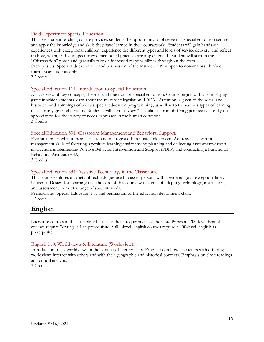### Field Experience: Special Education.

This pre-student teaching course provides students the opportunity to observe in a special education setting and apply the knowledge and skills they have learned in their coursework. Students will gain hands-on experiences with exceptional children, experience the different types and levels of service delivery, and reflect on how, when, and why specific evidence-based practices are implemented. Student will start in the "Observation" phase and gradually take on increased responsibilities throughout the term. Prerequisites: Special Education 111 and permission of the instructor. Not open to non-majors; third- or fourth-year students only.

3 Credits.

### Special Education 111. Introduction to Special Education.

An overview of key concepts, theories and practices of special education. Course begins with a role-playing game in which students learn about the milestone legislation, IDEA. Attention is given to the social and historical underpinnings of today's special education programming, as well as to the various types of learning needs in any given classroom. Students will learn to view "disabilities" from differing perspectives and gain appreciation for the variety of needs expressed in the human condition. 3 Credits.

### Special Education 331. Classroom Management and Behavioral Support.

Examination of what it means to lead and manage a differentiated classroom. Addresses classroom management skills of fostering a positive learning environment; planning and delivering assessment-driven instruction; implementing Positive Behavior Intervention and Support (PBIS); and conducting a Functional Behavioral Analysis (FBA).

3 Credits.

### Special Education 334. Assistive Technology in the Classroom.

This course explores a variety of technologies used to assist persons with a wide range of exceptionalities. Universal Design for Learning is at the core of this course with a goal of adapting technology, instruction, and assessment to meet a range of student needs.

Prerequisites: Special Education 111 and permission of the education department chair. 1 Credit.

### <span id="page-15-0"></span>**English**

Literature courses in this discipline fill the aesthetic requirement of the Core Program. 200-level English courses require Writing 101 as prerequisite. 300+-level English courses require a 200-level English as prerequisite.

### English 110. Worldviews & Literature (Worldview).

Introduction to six worldviews in the context of literary texts. Emphasis on how characters with differing worldviews interact with others and with their geographic and historical contexts. Emphasis on close readings and critical analysis.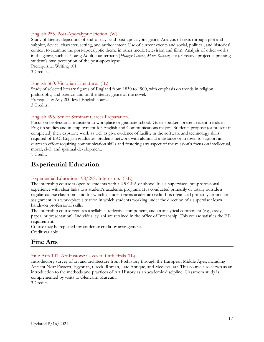### English 255. Post-Apocalyptic Fiction. (W)

Study of literary depictions of end-of-days and post-apocalyptic genre. Analysis of texts through plot and subplot, device, character, setting, and author intent. Use of current events and social, political, and historical context to examine the post-apocalyptic theme in other media (television and film). Analysis of other works in the genre, such as Young Adult counterparts (*Hunger Games*, *Maze Runner*, etc*.*). Creative project expressing student's own perception of the post-apocalypse.

Prerequisite: Writing 101.

3 Credits.

### English 360. Victorian Literature. (IL)

Study of selected literary figures of England from 1830 to 1900, with emphasis on trends in religion, philosophy, and science, and on the literary genre of the novel. Prerequisite: Any 200-level English course.

3 Credits.

### English 495. Senior Seminar: Career Preparation.

Focus on professional transition to workplace or graduate school. Guest speakers present recent trends in English studies and in employment for English and Communications majors. Students propose (or present if completed) their capstone work as well as give evidence of facility in the software and technology skills required of BAC English graduates. Students network with alumni at a distance or in town to support an outreach effort requiring communication skills and fostering any aspect of the mission's focus on intellectual, moral, civil, and spiritual development.

1 Credit.

### <span id="page-16-0"></span>**Experiential Education**

### Experiential Education 198/298. Internship. (EE)

The internship course is open to students with a 2.5 GPA or above. It is a supervised, pre-professional experience with clear links to a student's academic program. It is conducted primarily or totally outside a regular course classroom, and for which a student earns academic credit. It is organized primarily around an assignment in a work-place situation in which students working under the direction of a supervisor learn hands-on professional skills.

The internship course requires a syllabus, reflective component, and an analytical component (e.g., essay, paper, or presentation). Individual syllabi are retained in the office of Internship. This course satisfies the EE requirement.

Course may be repeated for academic credit by arrangement. Credit variable.

### <span id="page-16-1"></span>**Fine Arts**

### Fine Arts 101. Art History: Caves to Cathedrals (IL).

Introductory survey of art and architecture from Prehistory through the European Middle Ages, including Ancient Near Eastern, Egyptian, Greek, Roman, Late Antique, and Medieval art. This course also serves as an introduction to the methods and practices of Art History as an academic discipline. Classroom study is complemented by visits to Glencairn Museum.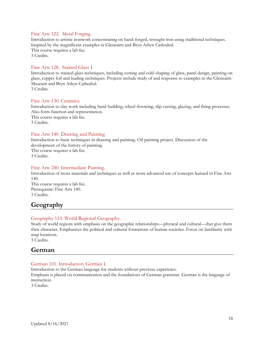### Fine Arts 122. Metal Forging.

Introduction to artistic ironwork concentrating on hand-forged, wrought iron using traditional techniques. Inspired by the magnificent examples in Glencairn and Bryn Athyn Cathedral. This course requires a lab fee. 3 Credits.

### Fine Arts 128. Stained Glass I.

Introduction to stained glass techniques, including cutting and cold-shaping of glass, panel design, painting on glass, copper foil and leading techniques. Projects include study of and response to examples in the Glencairn Museum and Bryn Athyn Cathedral. 3 Credits.

#### Fine Arts 130. Ceramics.

Introduction to clay work including hand building, wheel throwing, slip casting, glazing, and firing processes. Also form function and representation.

This course requires a lab fee. 3 Credits.

### Fine Arts 140. Drawing and Painting.

Introduction to basic techniques in drawing and painting. Oil painting project. Discussion of the development of the history of painting. This course requires a lab fee. 3 Credits.

### Fine Arts 240. Intermediate Painting.

Introduction of more materials and techniques as well as more advanced use of concepts learned in Fine Arts 140. This course requires a lab fee. Prerequisite: Fine Arts 140. 3 Credits.

### <span id="page-17-0"></span>**Geography**

### Geography 110. World Regional Geography.

Study of world regions with emphasis on the geographic relationships—physical and cultural—that give them their character. Emphasizes the political and cultural formations of human societies. Focus on familiarity with map locations.

<span id="page-17-1"></span>3 Credits.

### **German**

### German 101. Introductory German I.

Introduction to the German language for students without previous experience.

Emphasis is placed on communication and the foundations of German grammar. German is the language of instruction.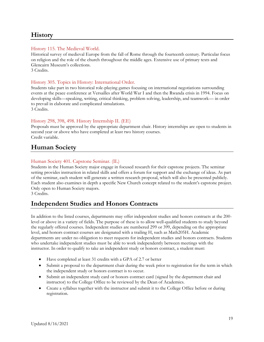### <span id="page-18-0"></span>**History**

### History 115. The Medieval World.

Historical survey of medieval Europe from the fall of Rome through the fourteenth century. Particular focus on religion and the role of the church throughout the middle ages. Extensive use of primary texts and Glencairn Museum's collections.

3 Credits.

### History 305. Topics in History: International Order.

Students take part in two historical role-playing games focusing on international negotiations surrounding events at the peace conference at Versailles after World War I and then the Rwanda crisis in 1994. Focus on developing skills—speaking, writing, critical thinking, problem solving, leadership, and teamwork— in order to prevail in elaborate and complicated simulations. 3 Credits.

### History 298, 398, 498. History Internship II. (EE)

Proposals must be approved by the appropriate department chair. History internships are open to students in second year or above who have completed at least two history courses. Credit variable.

### <span id="page-18-1"></span>**Human Society**

### Human Society 401. Capstone Seminar. (IL)

Students in the Human Society major engage in focused research for their capstone projects. The seminar setting provides instruction in related skills and offers a forum for support and the exchange of ideas. As part of the seminar, each student will generate a written research proposal, which will also be presented publicly. Each student also examines in depth a specific New Church concept related to the student's capstone project. Only open to Human Society majors.

3 Credits.

### <span id="page-18-2"></span>**Independent Studies and Honors Contracts**

In addition to the listed courses, departments may offer independent studies and honors contracts at the 200 level or above in a variety of fields. The purpose of these is to allow well-qualified students to study beyond the regularly offered courses. Independent studies are numbered 299 or 399, depending on the appropriate level, and honors contract courses are designated with a trailing H, such as Math205H. Academic departments are under no obligation to meet requests for independent studies and honors contracts. Students who undertake independent studies must be able to work independently between meetings with the instructor. In order to qualify to take an independent study or honors contract, a student must:

- Have completed at least 31 credits with a GPA of 2.7 or better
- Submit a proposal to the department chair during the week prior to registration for the term in which the independent study or honors contract is to occur.
- Submit an independent study card or honors contract card (signed by the department chair and instructor) to the College Office to be reviewed by the Dean of Academics.
- Create a syllabus together with the instructor and submit it to the College Office before or during registration.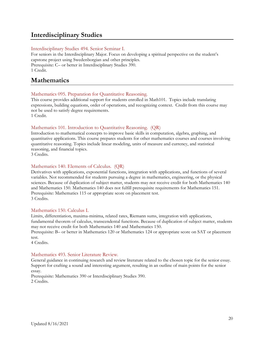### <span id="page-19-0"></span>**Interdisciplinary Studies**

### Interdisciplinary Studies 494. Senior Seminar I.

For seniors in the Interdisciplinary Major. Focus on developing a spiritual perspective on the student's capstone project using Swedenborgian and other principles. Prerequisite: C– or better in Interdisciplinary Studies 390. 1 Credit.

### <span id="page-19-1"></span>**Mathematics**

### Mathematics 095. Preparation for Quantitative Reasoning.

This course provides additional support for students enrolled in Math101. Topics include translating expressions, building equations, order of operations, and recognizing context. Credit from this course may not be used to satisfy degree requirements.

1 Credit.

### Mathematics 101. Introduction to Quantitative Reasoning. (QR)

Introduction to mathematical concepts to improve basic skills in computation, algebra, graphing, and quantitative applications. This course prepares students for other mathematics courses and courses involving quantitative reasoning. Topics include linear modeling, units of measure and currency, and statistical reasoning, and financial topics.

3 Credits.

### Mathematics 140. Elements of Calculus. (QR)

Derivatives with applications, exponential functions, integration with applications, and functions of several variables. Not recommended for students pursuing a degree in mathematics, engineering, or the physical sciences. Because of duplication of subject matter, students may not receive credit for both Mathematics 140 and Mathematics 150. Mathematics 140 does not fulfill prerequisite requirements for Mathematics 151. Prerequisite: Mathematics 115 or appropriate score on placement test. 3 Credits.

### Mathematics 150. Calculus I.

Limits, differentiation, maxima-minima, related rates, Riemann sums, integration with applications, fundamental theorem of calculus, transcendental functions. Because of duplication of subject matter, students may not receive credit for both Mathematics 140 and Mathematics 150.

Prerequisite: B– or better in Mathematics 120 or Mathematics 124 or appropriate score on SAT or placement test.

4 Credits.

### Mathematics 493. Senior Literature Review.

General guidance in continuing research and review literature related to the chosen topic for the senior essay. Support for crafting a sound and interesting argument, resulting in an outline of main points for the senior essay.

Prerequisite: Mathematics 390 or Interdisciplinary Studies 390. 2 Credits.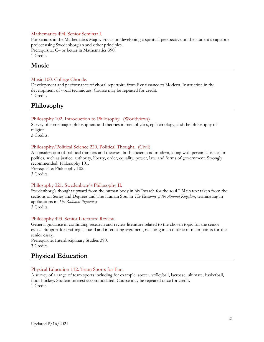#### Mathematics 494. Senior Seminar I.

For seniors in the Mathematics Major. Focus on developing a spiritual perspective on the student's capstone project using Swedenborgian and other principles. Prerequisite: C– or better in Mathematics 390. 1 Credit.

### <span id="page-20-0"></span>**Music**

#### Music 100. College Chorale.

Development and performance of choral repertoire from Renaissance to Modern. Instruction in the development of vocal techniques. Course may be repeated for credit. 1 Credit.

### <span id="page-20-1"></span>**Philosophy**

### Philosophy 102. Introduction to Philosophy. (Worldviews)

Survey of some major philosophers and theories in metaphysics, epistemology, and the philosophy of religion.

3 Credits.

#### Philosophy/Political Science 220. Political Thought. (Civil)

A consideration of political thinkers and theories, both ancient and modern, along with perennial issues in politics, such as justice, authority, liberty, order, equality, power, law, and forms of government. Strongly recommended: Philosophy 101. Prerequisite: Philosophy 102.

3 Credits.

### Philosophy 321. Swedenborg's Philosophy II.

Swedenborg's thought upward from the human body in his "search for the soul." Main text taken from the sections on Series and Degrees and The Human Soul in *The Economy of the Animal Kingdom*, terminating in applications in *The Rational Psychology*.

3 Credits.

#### Philosophy 493. Senior Literature Review.

General guidance in continuing research and review literature related to the chosen topic for the senior essay. Support for crafting a sound and interesting argument, resulting in an outline of main points for the senior essay.

Prerequisite: Interdisciplinary Studies 390. 3 Credits.

### <span id="page-20-2"></span>**Physical Education**

#### Physical Education 112. Team Sports for Fun.

A survey of a range of team sports including for example, soccer, volleyball, lacrosse, ultimate, basketball, floor hockey. Student interest accommodated. Course may be repeated once for credit. 1 Credit.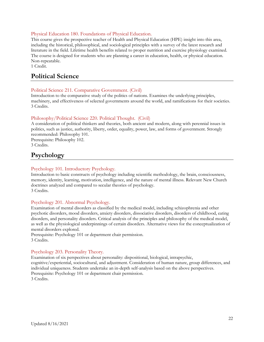### Physical Education 180. Foundations of Physical Education.

This course gives the prospective teacher of Health and Physical Education (HPE) insight into this area, including the historical, philosophical, and sociological principles with a survey of the latest research and literature in the field. Lifetime health benefits related to proper nutrition and exercise physiology examined. The course is designed for students who are planning a career in education, health, or physical education. Non-repeatable.

1 Credit.

### <span id="page-21-0"></span>**Political Science**

### Political Science 211. Comparative Government. (Civil)

Introduction to the comparative study of the politics of nations. Examines the underlying principles, machinery, and effectiveness of selected governments around the world, and ramifications for their societies. 3 Credits.

### Philosophy/Political Science 220. Political Thought. (Civil)

A consideration of political thinkers and theories, both ancient and modern, along with perennial issues in politics, such as justice, authority, liberty, order, equality, power, law, and forms of government. Strongly recommended: Philosophy 101.

Prerequisite: Philosophy 102. 3 Credits.

### <span id="page-21-1"></span>**Psychology**

### Psychology 101. Introductory Psychology.

Introduction to basic constructs of psychology including scientific methodology, the brain, consciousness, memory, identity, learning, motivation, intelligence, and the nature of mental illness. Relevant New Church doctrines analyzed and compared to secular theories of psychology. 3 Credits.

### Psychology 201. Abnormal Psychology.

Examination of mental disorders as classified by the medical model, including schizophrenia and other psychotic disorders, mood disorders, anxiety disorders, dissociative disorders, disorders of childhood, eating disorders, and personality disorders. Critical analysis of the principles and philosophy of the medical model, as well as the physiological underpinnings of certain disorders. Alternative views for the conceptualization of mental disorders explored.

Prerequisite: Psychology 101 or department chair permission. 3 Credits.

### Psychology 203. Personality Theory.

Examination of six perspectives about personality: dispositional, biological, intrapsychic, cognitive/experiential, sociocultural, and adjustment. Consideration of human nature, group differences, and individual uniqueness. Students undertake an in-depth self-analysis based on the above perspectives. Prerequisite: Psychology 101 or department chair permission. 3 Credits.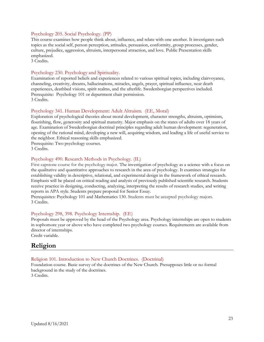### Psychology 205. Social Psychology. (PP)

This course examines how people think about, influence, and relate with one another. It investigates such topics as the social self, person perception, attitudes, persuasion, conformity, group processes, gender, culture, prejudice, aggression, altruism, interpersonal attraction, and love. Public Presentation skills emphasized.

3 Credits.

### Psychology 230. Psychology and Spirituality.

Examination of reported beliefs and experiences related to various spiritual topics, including clairvoyance, channeling, creativity, dreams, hallucinations, miracles, angels, prayer, spiritual influence, near death experiences, deathbed visions, spirit realms, and the afterlife. Swedenborgian perspectives included. Prerequisite: Psychology 101 or department chair permission. 3 Credits.

### Psychology 341. Human Development: Adult Altruism. (EE, Moral)

Exploration of psychological theories about moral development, character strengths, altruism, optimism, flourishing, flow, generosity and spiritual maturity. Major emphasis on the states of adults over 18 years of age. Examination of Swedenborgian doctrinal principles regarding adult human development: regeneration, opening of the rational mind, developing a new will, acquiring wisdom, and leading a life of useful service to the neighbor. Ethical reasoning skills emphasized.

Prerequisite: Two psychology courses.

3 Credits.

### Psychology 490. Research Methods in Psychology. (IL)

First capstone course for the psychology major. The investigation of psychology as a science with a focus on the qualitative and quantitative approaches to research in the area of psychology. It examines strategies for establishing validity in descriptive, relational, and experimental design in the framework of ethical research. Emphasis will be placed on critical reading and analysis of previously published scientific research. Students receive practice in designing, conducting, analyzing, interpreting the results of research studies, and writing reports in APA style. Students prepare proposal for Senior Essay.

Prerequisites: Psychology 101 and Mathematics 130. Students must be accepted psychology majors. 3 Credits.

### Psychology 298, 398. Psychology Internship. (EE)

Proposals must be approved by the head of the Psychology area. Psychology internships are open to students in sophomore year or above who have completed two psychology courses. Requirements are available from director of internships.

Credit variable.

### <span id="page-22-0"></span>**Religion**

### Religion 101. Introduction to New Church Doctrines. (Doctrinal)

Foundation course. Basic survey of the doctrines of the New Church. Presupposes little or no formal background in the study of the doctrines.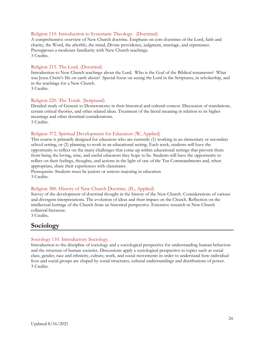#### Religion 110. Introduction to Systematic Theology. (Doctrinal)

A comprehensive overview of New Church doctrine. Emphasis on core doctrines of the Lord, faith and charity, the Word, the afterlife, the mind, Divine providence, judgment, marriage, and repentance. Presupposes a moderate familiarity with New Church teachings. 3 Credits.

#### Religion 215. The Lord. (Doctrinal)

Introduction to New Church teachings about the Lord. Who is the God of the Biblical testaments? What was Jesus Christ's life on earth about? Special focus on seeing the Lord in the Scriptures, in scholarship, and in the teachings for a New Church.

3 Credits.

#### Religion 220. The Torah. (Scriptural)

Detailed study of Genesis to Deuteronomy in their historical and cultural context. Discussion of translations, certain critical theories, and other related ideas. Treatment of the literal meaning in relation to its higher meanings and other doctrinal considerations. 3 Credits.

#### Religion 372. Spiritual Development for Educators (W, Applied)

This course is primarily designed for educators who are currently (1) working in an elementary or secondary school setting, or (2) planning to work in an educational setting. Each week, students will have the opportunity to reflect on the many challenges that come up within educational settings that prevent them from being the loving, wise, and useful educators they hope to be. Students will have the opportunity to reflect on their feelings, thoughts, and actions in the light of one of the Ten Commandments and, when appropriate, share their experiences with classmates.

Prerequisite: Students must be juniors or seniors majoring in education 3 Credits.

#### Religion 380. History of New Church Doctrine. (IL, Applied)

Survey of the development of doctrinal thought in the history of the New Church. Considerations of various and divergent interpretations. The evolution of ideas and their impact on the Church. Reflection on the intellectual heritage of the Church from an historical perspective. Extensive research in New Church collateral literature.

<span id="page-23-0"></span>3 Credits.

### **Sociology**

#### Sociology 110. Introductory Sociology.

Introduction to the discipline of sociology and a sociological perspective for understanding human behaviors and the structure of human societies. Discussions apply a sociological perspective to topics such as social class, gender, race and ethnicity, culture, work, and social movements in order to understand how individual lives and social groups are shaped by social structures, cultural understandings and distributions of power. 3 Credits.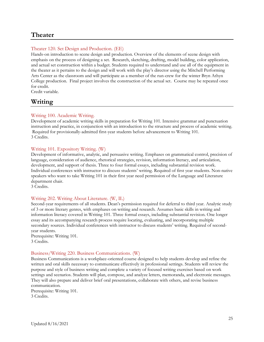### <span id="page-24-0"></span>**Theater**

### Theater 120. Set Design and Production. (EE)

Hands-on introduction to scene design and production. Overview of the elements of scene design with emphasis on the process of designing a set. Research, sketching, drafting, model building, color application, and actual set construction within a budget. Students required to understand and use all of the equipment in the theater as it pertains to the design and will work with the play's director using the Mitchell Performing Arts Center as the classroom and will participate as a member of the run-crew for the winter Bryn Athyn College production. Final project involves the construction of the actual set. Course may be repeated once for credit.

Credit variable.

### <span id="page-24-1"></span>**Writing**

### Writing 100. Academic Writing.

Development of academic writing skills in preparation for Writing 101. Intensive grammar and punctuation instruction and practice, in conjunction with an introduction to the structure and process of academic writing. Required for provisionally-admitted first-year students before advancement to Writing 101. 3 Credits.

### Writing 101. Expository Writing. (W)

Development of informative, analytic, and persuasive writing. Emphases on grammatical control, precision of language, consideration of audience, rhetorical strategies, revision, information literacy, and articulation, development, and support of thesis. Three to four formal essays, including substantial revision work. Individual conferences with instructor to discuss students' writing. Required of first year students. Non-native speakers who want to take Writing 101 in their first year need permission of the Language and Literature department chair.

3 Credits.

### Writing 202. Writing About Literature. (W, IL)

Second-year requirements of all students. Dean's permission required for deferral to third year. Analytic study of 3 or more literary genres, with emphases on writing and research. Assumes basic skills in writing and information literacy covered in Writing 101. Three formal essays, including substantial revision. One longer essay and its accompanying research process require locating, evaluating, and incorporating multiple secondary sources. Individual conferences with instructor to discuss students' writing. Required of secondyear students.

Prerequisite: Writing 101. 3 Credits.

### Business/Writing 220. Business Communications. (W)

Business Communications is a workplace-oriented course designed to help students develop and refine the written and oral skills necessary to communicate effectively in professional settings. Students will review the purpose and style of business writing and complete a variety of focused writing exercises based on work settings and scenarios. Students will plan, compose, and analyze letters, memoranda, and electronic messages. They will also prepare and deliver brief oral presentations, collaborate with others, and revise business communication.

Prerequisite: Writing 101. 3 Credits.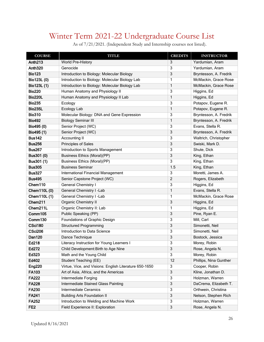# <span id="page-25-0"></span>Winter Term 2021-22 Undergraduate Course List

| <b>COURSE</b>       | <b>TITLE</b>                                           | <b>CREDITS</b> | <b>INSTRUCTOR</b>      |
|---------------------|--------------------------------------------------------|----------------|------------------------|
| Anth <sub>213</sub> | World Pre-History                                      | 3              | Yardumian, Aram        |
| Anth <sub>320</sub> | Genocide                                               | 3              | Yardumian, Aram        |
| <b>Bio123</b>       | Introduction to Biology: Molecular Biology             | 3              | Bryntesson, A. Fredrik |
| Bio123L (0)         | Introduction to Biology: Molecular Biology Lab         | 1              | McMackin, Grace Rose   |
| Bio123L (1)         | Introduction to Biology: Molecular Biology Lab         | 1              | McMackin, Grace Rose   |
| <b>Bio220</b>       | Human Anatomy and Physiology II                        | 3              | Higgins, Ed            |
| <b>Bio220L</b>      | Human Anatomy and Physiology II Lab                    | 1              | Higgins, Ed            |
| <b>Bio235</b>       | Ecology                                                | 3              | Potapov, Eugene R.     |
| <b>Bio235L</b>      | Ecology Lab                                            | 1              | Potapov, Eugene R.     |
| <b>Bio310</b>       | Molecular Biology: DNA and Gene Expression             | 3              | Bryntesson, A. Fredrik |
| <b>Bio492</b>       | <b>Biology Seminar III</b>                             | 1              | Bryntesson, A. Fredrik |
| Bio495 (0)          | Senior Project (WC)                                    | 3              | Evans, Stella R.       |
| Bio495 (1)          | Senior Project (WC)                                    | 3              | Bryntesson, A. Fredrik |
| <b>Bus142</b>       | Accounting II                                          | 3              | Waltrich, Christopher  |
| <b>Bus256</b>       | Principles of Sales                                    | 3              | Swiski, Mark D.        |
| <b>Bus267</b>       | Introduction to Sports Management                      | 3              | Shute, Dick            |
| Bus301 (0)          | <b>Business Ethics (Moral)(PP)</b>                     | 3              | King, Ethan            |
| Bus301 (1)          | <b>Business Ethics (Moral)(PP)</b>                     | 3              | King, Ethan            |
| <b>Bus305</b>       | <b>Business Seminar</b>                                | 1.5            | King, Ethan            |
| <b>Bus327</b>       | <b>International Financial Management</b>              | 3              | Moretti, James A.      |
| <b>Bus495</b>       | Senior Capstone Project (WC)                           | $\overline{c}$ | Rogers, Elizabeth      |
| Chem110             | <b>General Chemistry I</b>                             | 3              | Higgins, Ed            |
| Chem110L (0)        | General Chemistry I -Lab                               | 1              | Evans, Stella R.       |
| Chem110L (1)        | General Chemistry I -Lab                               | 1              | McMackin, Grace Rose   |
| Chem211             | Organic Chemistry II                                   | 3              | Higgins, Ed            |
| Chem211L            | Organic Chemistry II: Lab                              | 1              | Higgins, Ed            |
| Comm105             | Public Speaking (PP)                                   | 3              | Pine, Ryan E.          |
| Comm130             | Foundations of Graphic Design                          | 3              | Mill, Carl             |
| CSci180             | <b>Structured Programming</b>                          | 3              | Simonetti, Neil        |
| <b>CSci206</b>      | Introduction to Data Science                           | 3              | Simonetti, Neil        |
| <b>Dan120</b>       | Dance Technique                                        | 3              | Bostock, Jessica       |
| Ed218               | Literacy Instruction for Young Learners I              | 3              | Morey, Robin           |
| Ed272               | Child Development: Birth to Age Nine                   | 3              | Rose, Angela N.        |
| Ed323               | Math and the Young Child                               | 3              | Morey, Robin           |
| Ed402               | <b>Student Teaching (EE)</b>                           | 12             | Phillips, Nina Gunther |
| <b>Eng220</b>       | Virtue, Vice, and Visions: English Literature 650-1650 | $\overline{3}$ | Cooper, Robin          |
| <b>FA103</b>        | Art of Asia, Africa, and the Americas                  | 3              | Kline, Jonathan D.     |
| <b>FA222</b>        | Intermediate Forging                                   | 3              | Holzman, Warren        |
| <b>FA228</b>        | Intermediate Stained Glass Painting                    | 3              | DaCrema, Elizabeth T.  |
| <b>FA230</b>        | <b>Intermediate Ceramics</b>                           | 3              | Orthwein, Christina    |
| <b>FA241</b>        | <b>Building Arts Foundation II</b>                     | 3              | Nelson, Stephen Rich   |
| <b>FA252</b>        | Introduction to Welding and Machine Work               | 3              | Holzman, Warren        |
| FE <sub>2</sub>     | Field Experience II: Exploration                       | 3              | Rose, Angela N.        |

As of 7/21/2021. (Independent Study and Internship courses not listed).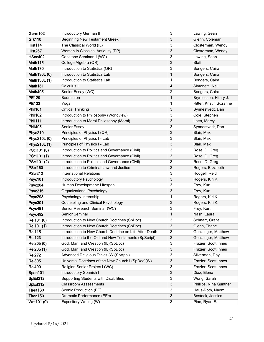| Germ102        | Introductory German II                                  | 3              | Lawing, Sean            |
|----------------|---------------------------------------------------------|----------------|-------------------------|
| <b>Grk110</b>  | <b>Beginning New Testament Greek I</b>                  | 3              | Glenn, Coleman          |
| Hist114        | The Classical World (IL)                                | 3              | Closterman, Wendy       |
| <b>Hist257</b> | Women in Classical Antiquity (PP)                       | 3              | Closterman, Wendy       |
| <b>HSoc402</b> | Capstone Seminar II (WC)                                | 3              | Lawing, Sean            |
| Math115        | College Algebra (QR)                                    | 3              | Staff                   |
| Math130        | Introduction to Statistics (QR)                         | 3              | Bongers, Caira          |
| Math130L (0)   | Introduction to Statistics Lab                          | $\mathbf{1}$   | Bongers, Caira          |
| Math130L (1)   | Introduction to Statistics Lab                          | 1              | Bongers, Caira          |
| Math151        | Calculus II                                             | $\overline{4}$ | Simonetti, Neil         |
| Math495        | Senior Essay (WC)                                       | $\overline{c}$ | Bongers, Caira          |
| <b>PE129</b>   | Badminton                                               | $\mathbf{1}$   | Bryntesson, Hilary J.   |
| PE133          | Yoga                                                    | 1              | Ritter, Kristin Suzanne |
| <b>Phil101</b> | <b>Critical Thinking</b>                                | 3              | Synnestvedt, Dan        |
| <b>Phil102</b> | Introduction to Philosophy (Worldview)                  | 3              | Cole, Stephen           |
| <b>Phil111</b> | Introduction to Moral Philosophy (Moral)                | 3              | Latta, Marcy            |
| <b>Phil495</b> | Senior Essay                                            | 3              | Synnestvedt, Dan        |
| Phys210        | Principles of Physics I (QR)                            | 3              | Blair, Max              |
| Phys210L (0)   | Principles of Physics I - Lab                           | 3              | Blair, Max              |
| Phys210L (1)   | Principles of Physics I - Lab                           | 3              | Blair, Max              |
| PSci101 (0)    | Introduction to Politics and Governance (Civil)         | 3              | Rose, D. Greg           |
| PSci101 (1)    | Introduction to Politics and Governance (Civil)         | 3              | Rose, D. Greg           |
| PSci101 (2)    | Introduction to Politics and Governance (Civil)         | 3              | Rose, D. Greg           |
| <b>PSci160</b> | Introduction to Criminal Law and Justice                | 3              | Rogers, Elizabeth       |
| <b>PSci212</b> | <b>International Relations</b>                          | 3              | Hodgell, Reid           |
| Psyc101        | Introductory Psychology                                 | 3              | Rogers, Kiri K.         |
| Psyc204        | Human Development: Lifespan                             | 3              | Frey, Kurt              |
| <b>Psyc215</b> | Organizational Psychology                               | 3              | Frey, Kurt              |
| Psyc298        | Psychology Internship                                   | 1              | Rogers, Kiri K.         |
| Psyc301        | Counseling and Clinical Psychology                      | 3              | Rogers, Kiri K.         |
| Psyc491        | Senior Research Seminar (WC)                            | 3              | Frey, Kurt              |
| <b>Psyc492</b> | Senior Seminar                                          | $\mathbf{1}$   | Nash, Laura             |
| Rel101 (0)     | Introduction to New Church Doctrines (SpDoc)            | 3              | Schnarr, Grant          |
| Rel101 (1)     | Introduction to New Church Doctrines (SpDoc)            | З              | Glenn, Thane            |
| <b>Rel115</b>  | Introduction to New Church Doctrine on Life After Death | 3              | Genzlinger, Matthew     |
| <b>Rel123</b>  | Introduction to the Old and New Testaments (SpScript)   | 3              | Genzlinger, Matthew     |
| Rel205 (0)     | God, Man, and Creation (IL)(SpDoc)                      | 3              | Frazier, Scott Innes    |
| Rel205 (1)     | God, Man, and Creation (IL)(SpDoc)                      | 3              | Frazier, Scott Innes    |
| <b>Rel272</b>  | Advanced Religious Ethics (W)(SpAppl)                   | 3              | Silverman, Ray          |
| <b>Rel305</b>  | Universal Doctrines of the New Church I (SpDoc)(W)      | 3              | Frazier, Scott Innes    |
| <b>Rel490</b>  | Religion Senior Project I (WC)                          | 3              | Frazier, Scott Innes    |
| Span101        | Introductory Spanish I                                  | 3              | Diaz, Elena             |
| SpEd212        | Supporting Students with Disabilities                   | 3              | Wong, Sarah             |
| SpEd312        | <b>Classroom Assessments</b>                            | 3              | Phillips, Nina Gunther  |
| Thea130        | Scenic Production (EE)                                  | 3              | Haus-Roth, Naomi        |
| Thea150        | Dramatic Performance (EEc)                              | 3              | Bostock, Jessica        |
| Writ101 (0)    | Expository Writing (W)                                  | 3              | Pine, Ryan E.           |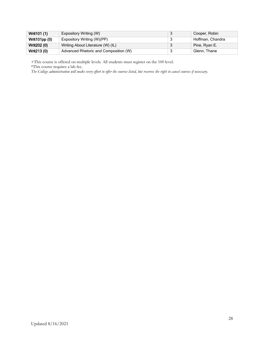| Writ101 (1)   | Expository Writing (W)                | Cooper, Robin    |
|---------------|---------------------------------------|------------------|
| Writ101pp (0) | Expository Writing (W)(PP)            | Hoffman, Chandra |
| Writ202 (0)   | Writing About Literature (W) (IL)     | Pine, Ryan E.    |
| Writ213 (0)   | Advanced Rhetoric and Composition (W) | Glenn, Thane     |

+This course is offered on multiple levels. All students must register on the 100 level.

\*This course requires a lab fee.

*The College administration will make every effort to offer the courses listed, but reserves the right to cancel courses if necessary.*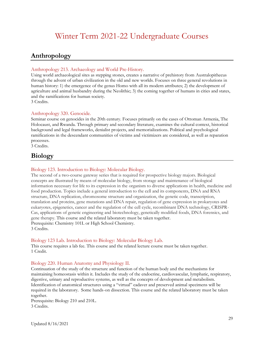### <span id="page-28-1"></span><span id="page-28-0"></span>**Anthropology**

### Anthropology 213. Archaeology and World Pre-History.

Using world archaeological sites as stepping stones, creates a narrative of prehistory from Australopithecus through the advent of urban civilization in the old and new worlds. Focuses on three general revolutions in human history: 1) the emergence of the genus Homo with all its modern attributes; 2) the development of agriculture and animal husbandry during the Neolithic; 3) the coming together of humans in cities and states, and the ramifications for human society.

3 Credits.

### Anthropology 320. Genocide.

Seminar course on genocides in the 20th century. Focuses primarily on the cases of Ottoman Armenia, The Holocaust, and Rwanda. Through primary and secondary literature, examines the cultural context, historical background and legal frameworks, denialist projects, and memorializations. Political and psychological ramifications in the descendant communities of victims and victimizers are considered, as well as reparation processes.

3 Credits.

### <span id="page-28-2"></span>**Biology**

### Biology 123. Introduction to Biology: Molecular Biology.

The second of a two-course gateway series that is required for prospective biology majors. Biological concepts are illustrated by means of molecular biology, from storage and maintenance of biological information necessary for life to its expression in the organism to diverse applications in health, medicine and food production. Topics include a general introduction to the cell and its components, DNA and RNA structure, DNA replication, chromosome structure and organization, the genetic code, transcription, translation and proteins, gene mutations and DNA repair, regulation of gene expression in prokaryotes and eukaryotes, epigenetics, cancer and the regulation of the cell cycle, recombinant DNA technology, CRISPR-Cas, applications of genetic engineering and biotechnology, genetically modified foods, DNA forensics, and gene therapy. This course and the related laboratory must be taken together. Prerequisite: Chemistry 101L or High School Chemistry. 3 Credits.

### Biology 123 Lab. Introduction to Biology: Molecular Biology Lab.

This course requires a lab fee. This course and the related lecture course must be taken together. 1 Credit.

### Biology 220. Human Anatomy and Physiology II.

Continuation of the study of the structure and function of the human body and the mechanisms for maintaining homeostasis within it. Includes the study of the endocrine, cardiovascular, lymphatic, respiratory, digestive, urinary and reproductive systems, as well as the concepts of development and metabolism. Identification of anatomical structures using a "virtual" cadaver and preserved animal specimens will be required in the laboratory. Some hands-on dissection. This course and the related laboratory must be taken together.

Prerequisite: Biology 210 and 210L. 3 Credits.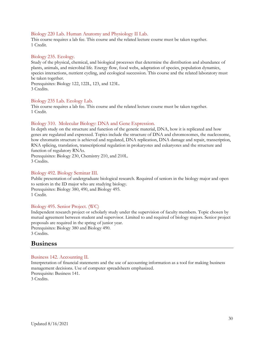### Biology 220 Lab. Human Anatomy and Physiology II Lab.

This course requires a lab fee. This course and the related lecture course must be taken together. 1 Credit.

#### Biology 235. Ecology.

Study of the physical, chemical, and biological processes that determine the distribution and abundance of plants, animals, and microbial life. Energy flow, food webs, adaptation of species, population dynamics, species interactions, nutrient cycling, and ecological succession. This course and the related laboratory must be taken together.

Prerequisites: Biology 122, 122L, 123, and 123L. 3 Credits.

#### Biology 235 Lab. Ecology Lab.

This course requires a lab fee. This course and the related lecture course must be taken together. 1 Credit.

### Biology 310. Molecular Biology: DNA and Gene Expression.

In depth study on the structure and function of the genetic material, DNA, how it is replicated and how genes are regulated and expressed. Topics include the structure of DNA and chromosomes, the nucleosome, how chromatin structure is achieved and regulated, DNA replication, DNA damage and repair, transcription, RNA splicing, translation, transcriptional regulation in prokaryotes and eukaryotes and the structure and function of regulatory RNAs.

Prerequisites: Biology 230, Chemistry 210, and 210L. 3 Credits.

#### Biology 492. Biology Seminar III.

Public presentation of undergraduate biological research. Required of seniors in the biology major and open to seniors in the ID major who are studying biology. Prerequisites: Biology 380, 490, and Biology 495. 1 Credit.

### Biology 495. Senior Project. (WC)

Independent research project or scholarly study under the supervision of faculty members. Topic chosen by mutual agreement between student and supervisor. Limited to and required of biology majors. Senior project proposals are required in the spring of junior year.

Prerequisites: Biology 380 and Biology 490. 3 Credits.

### <span id="page-29-0"></span>**Business**

#### Business 142. Accounting II.

Interpretation of financial statements and the use of accounting information as a tool for making business management decisions. Use of computer spreadsheets emphasized. Prerequisite: Business 141.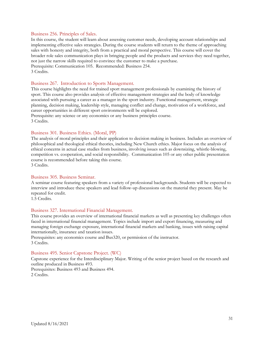#### Business 256. Principles of Sales.

In this course, the student will learn about assessing customer needs, developing account relationships and implementing effective sales strategies. During the course students will return to the theme of approaching sales with honesty and integrity, both from a practical and moral perspective. This course will cover the broader role sales communication plays in bringing people and the products and services they need together, not just the narrow skills required to convince the customer to make a purchase. Prerequisite: Communication 105. Recommended: Business 254. 3 Credits.

#### Business 267. Introduction to Sports Management.

This course highlights the need for trained sport management professionals by examining the history of sport. This course also provides analysis of effective management strategies and the body of knowledge associated with pursuing a career as a manager in the sport industry. Functional management, strategic planning, decision making, leadership style, managing conflict and change, motivation of a workforce, and career opportunities in different sport environments will be explored.

Prerequisite: any science or any economics or any business principles course. 3 Credits.

#### Business 301. Business Ethics. (Moral, PP)

The analysis of moral principles and their application to decision making in business. Includes an overview of philosophical and theological ethical theories, including New Church ethics. Major focus on the analysis of ethical concerns in actual case studies from business, involving issues such as downsizing, whistle-blowing, competition vs. cooperation, and social responsibility. Communication 105 or any other public presentation course is recommended before taking this course. 3 Credits.

#### Business 305. Business Seminar.

A seminar course featuring speakers from a variety of professional backgrounds. Students will be expected to interview and introduce these speakers and lead follow-up discussions on the material they present. May be repeated for credit.

1.5 Credits.

#### Business 327. International Financial Management.

This course provides an overview of international financial markets as well as presenting key challenges often faced in international financial management. Topics include import and export financing, measuring and managing foreign exchange exposure, international financial markets and banking, issues with raising capital internationally, insurance and taxation issues.

Prerequisites: any economics course and Bus320, or permission of the instructor. 3 Credits.

#### Business 495. Senior Capstone Project. (WC)

Capstone experience for the Interdisciplinary Major. Writing of the senior project based on the research and outline produced in Business 493.

Prerequisites: Business 493 and Business 494. 2 Credits.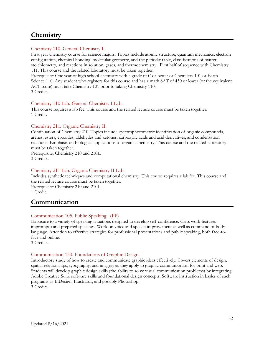### <span id="page-31-0"></span>**Chemistry**

### Chemistry 110. General Chemistry I.

First year chemistry course for science majors. Topics include atomic structure, quantum mechanics, electron configuration, chemical bonding, molecular geometry, and the periodic table, classifications of matter, stoichiometry, and reactions in solution, gases, and thermochemistry. First half of sequence with Chemistry 111. This course and the related laboratory must be taken together.

Prerequisite: One year of high school chemistry with a grade of C or better or Chemistry 101 or Earth Science 110. Any student who registers for this course and has a math SAT of 450 or lower (or the equivalent ACT score) must take Chemistry 101 prior to taking Chemistry 110. 3 Credits.

### Chemistry 110 Lab. General Chemistry I Lab.

This course requires a lab fee. This course and the related lecture course must be taken together. 1 Credit.

### Chemistry 211. Organic Chemistry II.

Continuation of Chemistry 210. Topics include spectrophotometric identification of organic compounds, arenes, esters, epoxides, aldehydes and ketones, carboxylic acids and acid derivatives, and condensation reactions. Emphasis on biological applications of organic chemistry. This course and the related laboratory must be taken together.

Prerequisite: Chemistry 210 and 210L. 3 Credits.

#### Chemistry 211 Lab. Organic Chemistry II Lab.

Includes synthetic techniques and computational chemistry. This course requires a lab fee. This course and the related lecture course must be taken together.

Prerequisite: Chemistry 210 and 210L. 1 Credit.

### <span id="page-31-1"></span>**Communication**

### Communication 105. Public Speaking. (PP)

Exposure to a variety of speaking situations designed to develop self-confidence. Class work features impromptu and prepared speeches. Work on voice and speech improvement as well as command of body language. Attention to effective strategies for professional presentations and public speaking, both face-toface and online.

3 Credits.

### Communication 130. Foundations of Graphic Design.

Introductory study of how to create and communicate graphic ideas effectively. Covers elements of design, spatial relationships, typography, and imagery as they apply to graphic communication for print and web. Students will develop graphic design skills (the ability to solve visual communication problems) by integrating Adobe Creative Suite software skills and foundational design concepts. Software instruction in basics of such programs as InDesign, Illustrator, and possibly Photoshop. 3 Credits.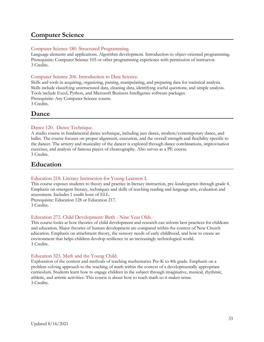### <span id="page-32-0"></span>**Computer Science**

### Computer Science 180. Structured Programming.

Language elements and applications. Algorithm development. Introduction to object-oriented programming. Prerequisite: Computer Science 105 or other programming experience with permission of instructor. 3 Credits.

### Computer Science 206. Introduction to Data Science.

Skills and tools in acquiring, organizing, parsing, manipulating, and preparing data for statistical analysis. Skills include classifying unstructured data, cleaning data, identifying useful questions, and simple analysis. Tools include Excel, Python, and Microsoft Business Intelligence software packages. Prerequisite: Any Computer Science course. 3 Credits.

### <span id="page-32-1"></span>**Dance**

### Dance 120. Dance Technique.

A studio course in fundamental dance technique, including jazz dance, modern/contemporary dance, and ballet. The course focuses on proper alignment, execution, and the overall strength and flexibility specific to the dancer. The artistry and musicality of the dancer is explored through dance combinations, improvisation exercises, and analysis of famous pieces of choreography. Also serves as a PE course. 3 Credits.

<span id="page-32-2"></span>**Education**

### Education 218. Literacy Instruction for Young Learners I.

This course exposes students to theory and practice in literacy instruction, pre-kindergarten through grade 4. Emphasis on emergent literacy, techniques and skills of teaching reading and language arts, evaluation and assessment. Includes 1 credit hour of ELL.

Prerequisite: Education 128 or Education 217. 3 Credits.

### Education 272. Child Development: Birth - Nine Year Olds.

This course looks at how theories of child development and research can inform best practices for childcare and education. Major theories of human development are compared within the context of New Church education. Emphasis on attachment theory, the sensory needs of early childhood, and how to create an environment that helps children develop resilience in an increasingly technological world. 3 Credits.

### Education 323. Math and the Young Child.

Exploration of the content and methods of teaching mathematics Pre-K to 4th grade. Emphasis on a problem-solving approach to the teaching of math within the context of a developmentally appropriate curriculum. Students learn how to engage children in the subject through imaginative, musical, rhythmic, athletic, and artistic activities. This course is about how to teach math so it makes sense. 3 Credits.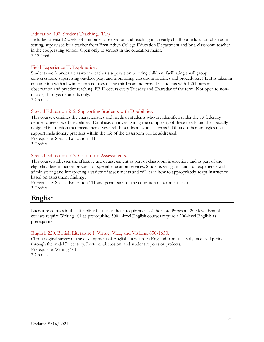### Education 402. Student Teaching. (EE)

Includes at least 12 weeks of combined observation and teaching in an early childhood education classroom setting, supervised by a teacher from Bryn Athyn College Education Department and by a classroom teacher in the cooperating school. Open only to seniors in the education major. 3-12 Credits.

### Field Experience II: Exploration.

Students work under a classroom teacher's supervision tutoring children, facilitating small group conversations, supervising outdoor play, and monitoring classroom routines and procedures. FE II is taken in conjunction with all winter term courses of the third year and provides students with 120 hours of observation and practice teaching. FE II occurs every Tuesday and Thursday of the term. Not open to nonmajors; third-year students only.

3 Credits.

### Special Education 212. Supporting Students with Disabilities.

This course examines the characteristics and needs of students who are identified under the 13 federally defined categories of disabilities. Emphasis on investigating the complexity of these needs and the specially designed instruction that meets them. Research-based frameworks such as UDL and other strategies that support inclusionary practices within the life of the classroom will be addressed. Prerequisite: Special Education 111. 3 Credits.

### Special Education 312. Classroom Assessments.

This course addresses the effective use of assessment as part of classroom instruction, and as part of the eligibility determination process for special education services. Students will gain hands-on experience with administering and interpreting a variety of assessments and will learn how to appropriately adapt instruction based on assessment findings.

Prerequisite: Special Education 111 and permission of the education department chair. 3 Credits.

### <span id="page-33-0"></span>**English**

Literature courses in this discipline fill the aesthetic requirement of the Core Program. 200-level English courses require Writing 101 as prerequisite. 300+-level English courses require a 200-level English as prerequisite.

### English 220. British Literature I. Virtue, Vice, and Visions: 650-1650.

Chronological survey of the development of English literature in England from the early medieval period through the mid-17th century. Lecture, discussion, and student reports or projects. Prerequisite: Writing 101. 3 Credits.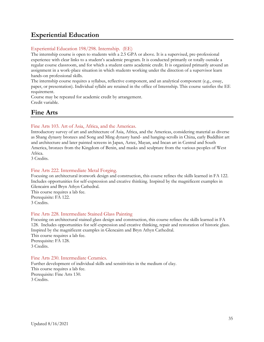### <span id="page-34-0"></span>**Experiential Education**

### Experiential Education 198/298. Internship. (EE)

The internship course is open to students with a 2.5 GPA or above. It is a supervised, pre-professional experience with clear links to a student's academic program. It is conducted primarily or totally outside a regular course classroom, and for which a student earns academic credit. It is organized primarily around an assignment in a work-place situation in which students working under the direction of a supervisor learn hands-on professional skills.

The internship course requires a syllabus, reflective component, and an analytical component (e.g., essay, paper, or presentation). Individual syllabi are retained in the office of Internship. This course satisfies the EE requirement.

Course may be repeated for academic credit by arrangement. Credit variable.

### <span id="page-34-1"></span>**Fine Arts**

### Fine Arts 103. Art of Asia, Africa, and the Americas.

Introductory survey of art and architecture of Asia, Africa, and the Americas, considering material as diverse as Shang dynasty bronzes and Song and Ming dynasty hand- and hanging-scrolls in China, early Buddhist art and architecture and later painted screens in Japan, Aztec, Mayan, and Incan art in Central and South America, bronzes from the Kingdom of Benin, and masks and sculpture from the various peoples of West Africa.

3 Credits.

### Fine Arts 222. Intermediate Metal Forging.

Focusing on architectural ironwork design and construction, this course refines the skills learned in FA 122. Includes opportunities for self-expression and creative thinking. Inspired by the magnificent examples in Glencairn and Bryn Athyn Cathedral.

This course requires a lab fee. Prerequisite: FA 122. 3 Credits.

### Fine Arts 228. Intermediate Stained Glass Painting

Focusing on architectural stained glass design and construction, this course refines the skills learned in FA 128. Includes opportunities for self-expression and creative thinking, repair and restoration of historic glass. Inspired by the magnificent examples in Glencairn and Bryn Athyn Cathedral. This course requires a lab fee. Prerequisite: FA 128. 3 Credits.

### Fine Arts 230. Intermediate Ceramics.

Further development of individual skills and sensitivities in the medium of clay. This course requires a lab fee. Prerequisite: Fine Arts 130. 3 Credits.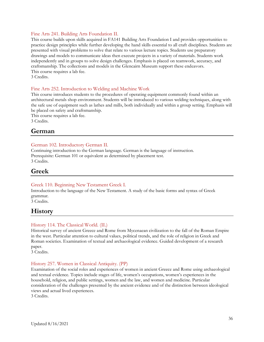### Fine Arts 241. Building Arts Foundation II.

This course builds upon skills acquired in FA141 Building Arts Foundation I and provides opportunities to practice design principles while further developing the hand skills essential to all craft disciplines. Students are presented with visual problems to solve that relate to various lecture topics. Students use preparatory drawings and models to communicate ideas then execute projects in a variety of materials. Students work independently and in groups to solve design challenges. Emphasis is placed on teamwork, accuracy, and craftsmanship. The collections and models in the Glencairn Museum support these endeavors. This course requires a lab fee. 3 Credits.

Fine Arts 252. Introduction to Welding and Machine Work

This course introduces students to the procedures of operating equipment commonly found within an architectural metals shop environment. Students will be introduced to various welding techniques, along with the safe use of equipment such as lathes and mills, both individually and within a group setting. Emphasis will be placed on safety and craftsmanship.

This course requires a lab fee. 3 Credits.

### <span id="page-35-0"></span>**German**

### German 102. Introductory German II.

Continuing introduction to the German language. German is the language of instruction. Prerequisite: German 101 or equivalent as determined by placement test. 3 Credits.

### <span id="page-35-1"></span>**Greek**

### Greek 110. Beginning New Testament Greek I.

Introduction to the language of the New Testament. A study of the basic forms and syntax of Greek grammar.

3 Credits.

### <span id="page-35-2"></span>**History**

### History 114. The Classical World. (IL)

Historical survey of ancient Greece and Rome from Mycenaean civilization to the fall of the Roman Empire in the west. Particular attention to cultural values, political trends, and the role of religion in Greek and Roman societies. Examination of textual and archaeological evidence. Guided development of a research paper.

3 Credits.

### History 257. Women in Classical Antiquity. (PP)

Examination of the social roles and experiences of women in ancient Greece and Rome using archaeological and textual evidence. Topics include stages of life, women's occupations, women's experiences in the household, religion, and public settings, women and the law, and women and medicine. Particular consideration of the challenges presented by the ancient evidence and of the distinction between ideological views and actual lived experiences.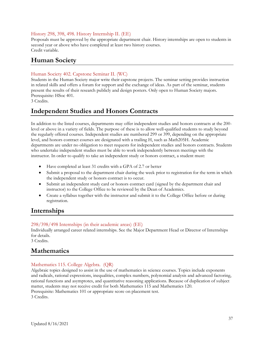### History 298, 398, 498. History Internship II. (EE)

Proposals must be approved by the appropriate department chair. History internships are open to students in second year or above who have completed at least two history courses. Credit variable.

### <span id="page-36-0"></span>**Human Society**

### Human Society 402. Capstone Seminar II. (WC)

Students in the Human Society major write their capstone projects. The seminar setting provides instruction in related skills and offers a forum for support and the exchange of ideas. As part of the seminar, students present the results of their research publicly and design posters. Only open to Human Society majors. Prerequisite: HSoc 401.

3 Credits.

### <span id="page-36-1"></span>**Independent Studies and Honors Contracts**

In addition to the listed courses, departments may offer independent studies and honors contracts at the 200 level or above in a variety of fields. The purpose of these is to allow well-qualified students to study beyond the regularly offered courses. Independent studies are numbered 299 or 399, depending on the appropriate level, and honors contract courses are designated with a trailing H, such as Math205H. Academic departments are under no obligation to meet requests for independent studies and honors contracts. Students who undertake independent studies must be able to work independently between meetings with the instructor. In order to qualify to take an independent study or honors contract, a student must:

- Have completed at least 31 credits with a GPA of 2.7 or better
- Submit a proposal to the department chair during the week prior to registration for the term in which the independent study or honors contract is to occur.
- Submit an independent study card or honors contract card (signed by the department chair and instructor) to the College Office to be reviewed by the Dean of Academics.
- Create a syllabus together with the instructor and submit it to the College Office before or during registration.

### <span id="page-36-2"></span>**Internships**

### 298/398/498 Internships (in their academic areas) (EE)

Individually arranged career related internships. See the Major Department Head or Director of Internships for details.

3 Credits.

### <span id="page-36-3"></span>**Mathematics**

### Mathematics 115. College Algebra. (QR)

Algebraic topics designed to assist in the use of mathematics in science courses. Topics include exponents and radicals, rational expressions, inequalities, complex numbers, polynomial analysis and advanced factoring, rational functions and asymptotes, and quantitative reasoning applications. Because of duplication of subject matter, students may not receive credit for both Mathematics 115 and Mathematics 120. Prerequisite: Mathematics 101 or appropriate score on placement test. 3 Credits.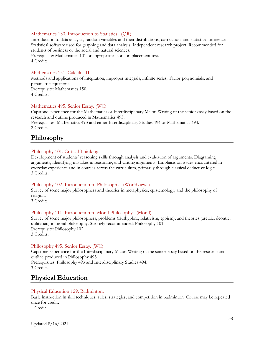### Mathematics 130. Introduction to Statistics. (QR)

Introduction to data analysis, random variables and their distributions, correlation, and statistical inference. Statistical software used for graphing and data analysis. Independent research project. Recommended for students of business or the social and natural sciences. Prerequisite: Mathematics 101 or appropriate score on placement test.

4 Credits.

#### Mathematics 151. Calculus II.

Methods and applications of integration, improper integrals, infinite series, Taylor polynomials, and parametric equations. Prerequisite: Mathematics 150. 4 Credits.

#### Mathematics 495. Senior Essay. (WC)

Capstone experience for the Mathematics or Interdisciplinary Major. Writing of the senior essay based on the research and outline produced in Mathematics 493.

Prerequisites: Mathematics 493 and either Interdisciplinary Studies 494 or Mathematics 494. 2 Credits.

### <span id="page-37-0"></span>**Philosophy**

#### Philosophy 101. Critical Thinking.

Development of students' reasoning skills through analysis and evaluation of arguments. Diagraming arguments, identifying mistakes in reasoning, and writing arguments. Emphasis on issues encountered in everyday experience and in courses across the curriculum, primarily through classical deductive logic. 3 Credits.

#### Philosophy 102. Introduction to Philosophy. (Worldviews)

Survey of some major philosophers and theories in metaphysics, epistemology, and the philosophy of religion.

3 Credits.

#### Philosophy 111. Introduction to Moral Philosophy. (Moral)

Survey of some major philosophers, problems (Euthyphro, relativism, egoism), and theories (aretaic, deontic, utilitarian) in moral philosophy. Strongly recommended: Philosophy 101. Prerequisite: Philosophy 102. 3 Credits.

#### Philosophy 495. Senior Essay. (WC)

Capstone experience for the Interdisciplinary Major. Writing of the senior essay based on the research and outline produced in Philosophy 493. Prerequisites: Philosophy 493 and Interdisciplinary Studies 494.

<span id="page-37-1"></span>3 Credits.

### **Physical Education**

#### Physical Education 129. Badminton.

Basic instruction in skill techniques, rules, strategies, and competition in badminton. Course may be repeated once for credit.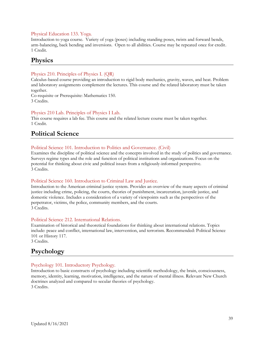### Physical Education 133. Yoga.

Introduction to yoga course. Variety of yoga (poses) including standing poses, twists and forward bends, arm-balancing, back bending and inversions. Open to all abilities. Course may be repeated once for credit. 1 Credit.

### <span id="page-38-0"></span>**Physics**

### Physics 210. Principles of Physics I. (QR)

Calculus-based course providing an introduction to rigid body mechanics, gravity, waves, and heat. Problem and laboratory assignments complement the lectures. This course and the related laboratory must be taken together.

Co-requisite or Prerequisite: Mathematics 150. 3 Credits.

### Physics 210 Lab. Principles of Physics I Lab.

This course requires a lab fee. This course and the related lecture course must be taken together. 1 Credit.

### <span id="page-38-1"></span>**Political Science**

### Political Science 101. Introduction to Politics and Governance. (Civil)

Examines the discipline of political science and the concepts involved in the study of politics and governance. Surveys regime types and the role and function of political institutions and organizations. Focus on the potential for thinking about civic and political issues from a religiously-informed perspective. 3 Credits.

### Political Science 160. Introduction to Criminal Law and Justice.

Introduction to the American criminal justice system. Provides an overview of the many aspects of criminal justice including crime, policing, the courts, theories of punishment, incarceration, juvenile justice, and domestic violence. Includes a consideration of a variety of viewpoints such as the perspectives of the perpetrator, victims, the police, community members, and the courts. 3 Credits.

### Political Science 212. International Relations.

Examination of historical and theoretical foundations for thinking about international relations. Topics include: peace and conflict, international law, intervention, and terrorism. Recommended: Political Science 101 or History 117.

<span id="page-38-2"></span>3 Credits.

### **Psychology**

### Psychology 101. Introductory Psychology.

Introduction to basic constructs of psychology including scientific methodology, the brain, consciousness, memory, identity, learning, motivation, intelligence, and the nature of mental illness. Relevant New Church doctrines analyzed and compared to secular theories of psychology. 3 Credits.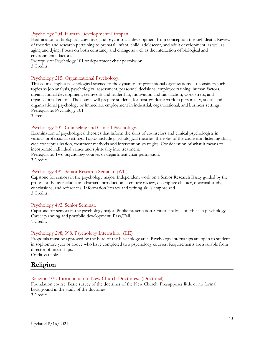### Psychology 204. Human Development: Lifespan.

Examination of biological, cognitive, and psychosocial development from conception through death. Review of theories and research pertaining to prenatal, infant, child, adolescent, and adult development, as well as aging and dying. Focus on both constancy and change as well as the interaction of biological and environmental factors.

Prerequisite: Psychology 101 or department chair permission. 3 Credits.

### Psychology 215. Organizational Psychology.

This course applies psychological science to the dynamics of professional organizations. It considers such topics as job analysis, psychological assessment, personnel decisions, employee training, human factors, organizational development, teamwork and leadership, motivation and satisfaction, work stress, and organizational ethics. The course will prepare students for post-graduate work in personality, social, and organizational psychology or immediate employment in industrial, organizational, and business settings. Prerequisite: Psychology 101

3 credits.

### Psychology 301. Counseling and Clinical Psychology.

Examination of psychological theories that inform the skills of counselors and clinical psychologists in various professional settings. Topics include psychological theories, the roles of the counselor, listening skills, case conceptualization, treatment methods and intervention strategies. Consideration of what it means to incorporate individual values and spirituality into treatment.

Prerequisite: Two psychology courses or department chair permission. 3 Credits.

#### Psychology 491. Senior Research Seminar. (WC)

Capstone for seniors in the psychology major. Independent work on a Senior Research Essay guided by the professor. Essay includes an abstract, introduction, literature review, descriptive chapter, doctrinal study, conclusions, and references. Information literacy and writing skills emphasized. 3 Credits.

#### Psychology 492. Senior Seminar.

Capstone for seniors in the psychology major. Public presentation. Critical analysis of ethics in psychology. Career planning and portfolio development. Pass/Fail. 1 Credit.

#### Psychology 298, 398. Psychology Internship. (EE)

Proposals must be approved by the head of the Psychology area. Psychology internships are open to students in sophomore year or above who have completed two psychology courses. Requirements are available from director of internships.

Credit variable.

### <span id="page-39-0"></span>**Religion**

#### Religion 101. Introduction to New Church Doctrines. (Doctrinal)

Foundation course. Basic survey of the doctrines of the New Church. Presupposes little or no formal background in the study of the doctrines. 3 Credits.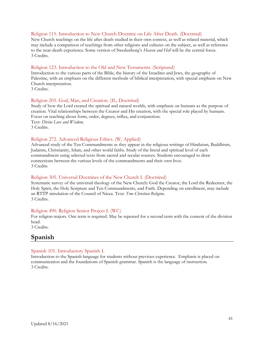#### Religion 115. Introduction to New Church Doctrine on Life After Death. (Doctrinal)

New Church teachings on the life after death studied in their own context, as well as related material, which may include a comparison of teachings from other religions and cultures on the subject, as well as reference to the near-death experience. Some version of Swedenborg's *Heaven and Hell* will be the central focus. 3 Credits.

#### Religion 123. Introduction to the Old and New Testaments. (Scriptural)

Introduction to the various parts of the Bible, the history of the Israelites and Jews, the geography of Palestine, with an emphasis on the different methods of biblical interpretation, with special emphasis on New Church interpretation.

3 Credits.

#### Religion 205. God, Man, and Creation. (IL, Doctrinal)

Study of how the Lord created the spiritual and natural worlds, with emphasis on humans as the purpose of creation. Vital relationships between the Creator and His creation, with the special role played by humans. Focus on teaching about form, order, degrees, influx, and conjunction. Text: *Divine Love and Wisdom*. 3 Credits.

#### Religion 272. Advanced Religious Ethics. (W, Applied)

Advanced study of the Ten Commandments as they appear in the religious writings of Hinduism, Buddhism, Judaism, Christianity, Islam, and other world faiths. Study of the literal and spiritual level of each commandment using selected texts from sacred and secular sources. Students encouraged to draw connections between the various levels of the commandments and their own lives. 3 Credits

#### Religion 305. Universal Doctrines of the New Church I. (Doctrinal)

Systematic survey of the universal theology of the New Church: God the Creator, the Lord the Redeemer, the Holy Spirit, the Holy Scripture and Ten Commandments, and Faith. Depending on enrollment, may include an RTTP simulation of the Council of Nicea. Text: *True Christian Religion*. 3 Credits.

#### Religion 490. Religion Senior Project I. (WC)

For religion majors. One term is required. May be repeated for a second term with the consent of the division head.

<span id="page-40-0"></span>3 Credits.

### **Spanish**

#### Spanish 101. Introductory Spanish I.

Introduction to the Spanish language for students without previous experience. Emphasis is placed on communication and the foundations of Spanish grammar. Spanish is the language of instruction. 3 Credits.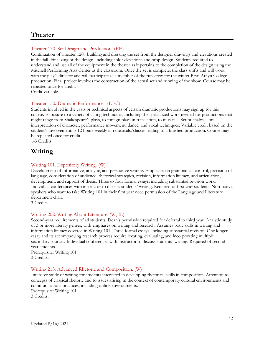### <span id="page-41-0"></span>**Theater**

### Theater 130. Set Design and Production. (EE)

Continuation of Theater 120: building and dressing the set from the designer drawings and elevations created in the fall. Finalizing of the design, including color elevations and prop design. Students required to understand and use all of the equipment in the theater as it pertains to the completion of the design using the Mitchell Performing Arts Center as the classroom. Once the set is complete, the class shifts and will work with the play's director and will participate as a member of the run-crew for the winter Bryn Athyn College production. Final project involves the construction of the actual set and running of the show. Course may be repeated once for credit.

Credit variable.

### Theater 150. Dramatic Performance. (EEC)

Students involved in the casts or technical aspects of certain dramatic productions may sign up for this course. Exposure to a variety of acting techniques, including the specialized work needed for productions that might range from Shakespeare's plays, to foreign plays in translation, to musicals. Script analysis, oral interpretation of character, performance movement, dance, and vocal techniques. Variable credit based on the student's involvement. 5-12 hours weekly in rehearsals/classes leading to a finished production. Course may be repeated once for credit.

1-3 Credits.

### <span id="page-41-1"></span>**Writing**

### Writing 101. Expository Writing. (W)

Development of informative, analytic, and persuasive writing. Emphases on grammatical control, precision of language, consideration of audience, rhetorical strategies, revision, information literacy, and articulation, development, and support of thesis. Three to four formal essays, including substantial revision work. Individual conferences with instructor to discuss students' writing. Required of first year students. Non-native speakers who want to take Writing 101 in their first year need permission of the Language and Literature department chair.

3 Credits.

### Writing 202. Writing About Literature. (W, IL)

Second-year requirements of all students. Dean's permission required for deferral to third year. Analytic study of 3 or more literary genres, with emphases on writing and research. Assumes basic skills in writing and information literacy covered in Writing 101. Three formal essays, including substantial revision. One longer essay and its accompanying research process require locating, evaluating, and incorporating multiple secondary sources. Individual conferences with instructor to discuss students' writing. Required of secondyear students.

Prerequisite: Writing 101. 3 Credits.

### Writing 213. Advanced Rhetoric and Composition. (W)

Intensive study of writing for students interested in developing rhetorical skills in composition. Attention to concepts of classical rhetoric and to issues arising in the context of contemporary cultural environments and communications practices, including online environments. Prerequisite: Writing 101.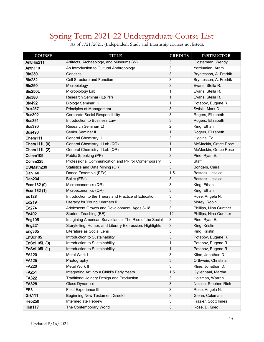# Spring Term 2021-22 Undergraduate Course List

<span id="page-42-0"></span>

| <b>COURSE</b>  | <b>TITLE</b>                                       | <b>CREDITS</b> | <b>INSTRUCTOR</b>      |
|----------------|----------------------------------------------------|----------------|------------------------|
| Ant/His211     | Artifacts, Archaeology, and Museums (W)            | 3              | Closterman, Wendy      |
| Anth110        | An Introduction to Cultural Anthropology           | 3              | Yardumian, Aram        |
| <b>Bio230</b>  | Genetics                                           | 3              | Bryntesson, A. Fredrik |
| <b>Bio232</b>  | Cell Structure and Function                        | 3              | Bryntesson, A. Fredrik |
| <b>Bio250</b>  | Microbiology                                       | 3              | Evans, Stella R.       |
| <b>Bio250L</b> | Microbiology Lab                                   | 1              | Evans, Stella R.       |
| <b>Bio380</b>  | Research Seminar (IL)(PP)                          | $\mathbf{1}$   | Evans, Stella R.       |
| <b>Bio492</b>  | <b>Biology Seminar III</b>                         | 1              | Potapov, Eugene R.     |
| <b>Bus257</b>  | Principles of Management                           | 3              | Swiski, Mark D.        |
| <b>Bus302</b>  | <b>Corporate Social Responsibility</b>             | 3              | Rogers, Elizabeth      |
| <b>Bus351</b>  | Introduction to Business Law                       | 3              | Rogers, Elizabeth      |
| <b>Bus390</b>  | Research Seminar(IL)                               | 2              | King, Ethan            |
| <b>Bus496</b>  | Senior Seminar II                                  | 1              | Rogers, Elizabeth      |
| Chem111        | <b>General Chemistry II</b>                        | 3              | Higgins, Ed            |
| Chem111L (0)   | General Chemistry II Lab (QR)                      | $\mathbf{1}$   | McMackin, Grace Rose   |
| Chem111L (2)   | General Chemistry II Lab (QR)                      | 1              | McMackin, Grace Rose   |
| Comm105        | Public Speaking (PP)                               | 3              | Pine, Ryan E.          |
| Comm225        | Professional Communication and PR for Contemporary | 3              | Staff,                 |
| CS/Math230     | Statistics and Data Mining (QR)                    | 3              | Bongers, Caira         |
| Dan160         | Dance Ensemble (EEc)                               | 1.5            | Bostock, Jessica       |
| <b>Dan234</b>  | Ballet (EEc)                                       | 3              | Bostock, Jessica       |

Econ132 (0) Microeconomics (QR) 3 King, Ethan **Econ132 (1)** Microeconomics (QR) 3 King, Ethan **Ed128** Introduction to the Theory and Practice of Education 3 Rose, Angela N. Ed219 Literacy for Young Learners II 3 Morey, Robin

Eng105 Imagining American Surveillance: The Rise of the Social 3 Pine, Ryan E. Eng221 Storytelling, Humor, and Literary Expression: Highlights 3 King, Kristin **Eng365** Literature as Social Lens 3 Second Literature as Social Lens 3 King, Kristin

Ed274 Adolescent Growth and Development: Ages 8-18 3 Phillips, Nina Gunther Ed402 Student Teaching (EE) 12 Phillips, Nina Gunther

**EnSci105** Introduction to Sustainability **12 Construction 12 Construction 13** Potapov, Eugene R. **EnSci105L (0)** Introduction to Sustainability 1 Potapov, Eugene R. **EnSci105L (1)** Introduction to Sustainability **1** Potapov, Eugene R. **FA120** Metal Work I 3 Kline, Jonathan D. FA125 Photography **Photography** 2 Photography 3 Orthwein, Christina **FA220** Metal Work II **1999 Metal Work II** 3 Kline, Jonathan D. **FA251** Integrating Art into a Child's Early Years 1.5 Gyllenhaal, Martha FA322 Traditional Joinery Design and Production 3 Holzman, Warren **FA328** Glass Dynamics 3 Nelson, Stephen Rich FE3 Field Experience III 3 Rose, Angela N. Grk111 Beginning New Testament Greek II 3 Glenn, Coleman 3 Heb250 Intermediate Hebrew 3 Frazier, Scott Innes Hist117 The Contemporary World **3** Rose, D. Greg

As of 7/21/2021. (Independent Study and Internship courses not listed).

i<br>I

I

I

l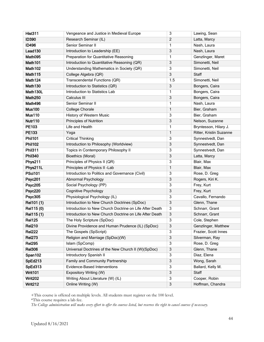| <b>Hist311</b> | Vengeance and Justice in Medieval Europe                | $\overline{3}$ | Lawing, Sean            |
|----------------|---------------------------------------------------------|----------------|-------------------------|
| <b>ID390</b>   | Research Seminar (IL)                                   | 2              | Latta, Marcy            |
| <b>ID496</b>   | Senior Seminar II                                       | 1              | Nash, Laura             |
| Lead130        | Introduction to Leadership (EE)                         | 3              | Nash, Laura             |
| Math095        | Preparation for Quantitative Reasoning                  | 1              | Genzlinger, Maret       |
| Math101        | Introduction to Quantitative Reasoning (QR)             | 3              | Simonetti, Neil         |
| Math102        | Understanding Mathematics in Society (QR)               | 3              | Simonetti, Neil         |
| Math115        | College Algebra (QR)                                    | 3              | <b>Staff</b>            |
| Math124        | Transcendental Functions (QR)                           | 1.5            | Simonetti, Neil         |
| Math130        | Introduction to Statistics (QR)                         | 3              | Bongers, Caira          |
| Math130L       | Introduction to Statistics Lab                          | 1              | Bongers, Caira          |
| Math250        | Calculus III                                            | 3              | Bongers, Caira          |
| Math496        | Senior Seminar II                                       | 1              | Nash, Laura             |
| <b>Mus100</b>  | <b>College Chorale</b>                                  | 1              | Bier, Graham            |
| <b>Mus110</b>  | History of Western Music                                | $\overline{3}$ | Bier, Graham            |
| Nutr110        | <b>Principles of Nutrition</b>                          | 3              | Nelson, Suzanne         |
| PE103          | Life and Health                                         | 1              | Bryntesson, Hilary J.   |
| PE133          | Yoga                                                    | 1              | Ritter, Kristin Suzanne |
| <b>Phil101</b> | <b>Critical Thinking</b>                                | 3              | Synnestvedt, Dan        |
| <b>Phil102</b> | Introduction to Philosophy (Worldview)                  | 3              | Synnestvedt, Dan        |
| <b>Phil311</b> | Topics in Contemporary Philosophy II                    | 3              | Synnestvedt, Dan        |
| <b>Phil340</b> | <b>Bioethics (Moral)</b>                                | 3              | Latta, Marcy            |
| Phys211        | Principles of Physics II (QR)                           | 3              | Blair, Max              |
| Phys211L       | Principles of Physics II -Lab                           | 1              | Blair, Max              |
| <b>PSci101</b> | Introduction to Politics and Governance (Civil)         | 3              | Rose, D. Greg           |
| Psyc201        | Abnormal Psychology                                     | 3              | Rogers, Kiri K.         |
| <b>Psyc205</b> | Social Psychology (PP)                                  | 3              | Frey, Kurt              |
| <b>Psyc220</b> | <b>Cognitive Psychology</b>                             | 3              | Frey, Kurt              |
| <b>Psyc305</b> | Physiological Psychology (IL)                           | 3              | Cavallo, Fernando       |
| Rel101 (1)     | Introduction to New Church Doctrines (SpDoc)            | 3              | Glenn, Thane            |
| Rel115 (0)     | Introduction to New Church Doctrine on Life After Death | 3              | Schnarr, Grant          |
| Rel115 (1)     | Introduction to New Church Doctrine on Life After Death | 3              | Schnarr, Grant          |
| <b>Rel125</b>  | The Holy Scripture (SpDoc)                              | 3              | Cole, Stephen           |
| <b>Rel210</b>  | Divine Providence and Human Prudence (IL) (SpDoc)       | 3              | Genzlinger, Matthew     |
| <b>Rel222</b>  | The Gospels (SpScript)                                  | 3              | Frazier, Scott Innes    |
| <b>Rel273</b>  | Religion and Marriage (SpDoc)(W)                        | 3              | Silverman, Ray          |
| <b>Rel295</b>  | Islam (SpComp)                                          | 3              | Rose, D. Greg           |
| <b>Rel306</b>  | Universal Doctrines of the New Church II (W)(SpDoc)     | 3              | Glenn, Thane            |
| Span102        | Introductory Spanish II                                 | 3              | Diaz, Elena             |
| SpEd213        | <b>Family and Community Partnership</b>                 | 3              | Wong, Sarah             |
| SpEd313        | Evidence-Based Interventions                            | 3              | Ballard, Kelly M.       |
| Writ101        | Expository Writing (W)                                  | 3              | Staff                   |
| <b>Writ202</b> | Writing About Literature (W) (IL)                       | 3              | Cooper, Robin           |
| <b>Writ212</b> | Online Writing (W)                                      | 3              | Hoffman, Chandra        |

+This course is offered on multiple levels. All students must register on the 100 level.

\*This course requires a lab fee.

*The College administration will make every effort to offer the courses listed, but reserves the right to cancel courses if necessary.*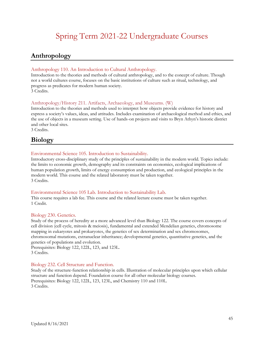# Spring Term 2021-22 Undergraduate Courses

### <span id="page-44-1"></span><span id="page-44-0"></span>**Anthropology**

### Anthropology 110. An Introduction to Cultural Anthropology.

Introduction to the theories and methods of cultural anthropology, and to the concept of culture. Though not a world cultures course, focuses on the basic institutions of culture such as ritual, technology, and progress as predicates for modern human society. 3 Credits.

### Anthropology/History 211. Artifacts, Archaeology, and Museums. (W)

Introduction to the theories and methods used to interpret how objects provide evidence for history and express a society's values, ideas, and attitudes. Includes examination of archaeological method and ethics, and the use of objects in a museum setting. Use of hands-on projects and visits to Bryn Athyn's historic district and other local sites. 3 Credits.

## <span id="page-44-2"></span>**Biology**

### Environmental Science 105. Introduction to Sustainability.

Introductory cross-disciplinary study of the principles of sustainability in the modern world. Topics include: the limits to economic growth, demography and its constraints on economics, ecological implications of human population growth, limits of energy consumption and production, and ecological principles in the modern world. This course and the related laboratory must be taken together. 3 Credits.

### Environmental Science 105 Lab. Introduction to Sustainability Lab.

This course requires a lab fee. This course and the related lecture course must be taken together. 1 Credit.

### Biology 230. Genetics.

Study of the process of heredity at a more advanced level than Biology 122. The course covers concepts of cell division (cell cycle, mitosis & meiosis), fundamental and extended Mendelian genetics, chromosome mapping in eukaryotes and prokaryotes, the genetics of sex determination and sex chromosomes, chromosomal mutations, extranuclear inheritance; developmental genetics, quantitative genetics, and the genetics of populations and evolution.

Prerequisites: Biology 122, 122L, 123, and 123L. 3 Credits.

### Biology 232. Cell Structure and Function.

Study of the structure-function relationship in cells. Illustration of molecular principles upon which cellular structure and function depend. Foundation course for all other molecular biology courses. Prerequisites: Biology 122, 122L, 123, 123L, and Chemistry 110 and 110L. 3 Credits.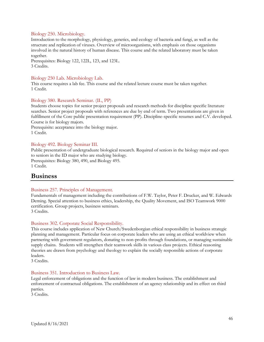### Biology 250. Microbiology.

Introduction to the morphology, physiology, genetics, and ecology of bacteria and fungi, as well as the structure and replication of viruses. Overview of microorganisms, with emphasis on those organisms involved in the natural history of human disease. This course and the related laboratory must be taken together.

Prerequisites: Biology 122, 122L, 123, and 123L. 3 Credits.

### Biology 250 Lab. Microbiology Lab.

This course requires a lab fee. This course and the related lecture course must be taken together. 1 Credit.

### Biology 380. Research Seminar. (IL, PP)

Students choose topics for senior project proposals and research methods for discipline specific literature searches. Senior project proposals with references are due by end of term. Two presentations are given in fulfillment of the Core public presentation requirement (PP). Discipline-specific resumes and C.V. developed. Course is for biology majors.

Prerequisite: acceptance into the biology major. 1 Credit.

### Biology 492. Biology Seminar III.

Public presentation of undergraduate biological research. Required of seniors in the biology major and open to seniors in the ID major who are studying biology. Prerequisites: Biology 380, 490, and Biology 495. 1 Credit.

### <span id="page-45-0"></span>**Business**

### Business 257. Principles of Management.

Fundamentals of management including the contributions of F.W. Taylor, Peter F. Drucker, and W. Edwards Deming. Special attention to business ethics, leadership, the Quality Movement, and ISO Teamwork 9000 certification. Group projects, business seminars. 3 Credits.

### Business 302. Corporate Social Responsibility.

This course includes application of New Church/Swedenborgian ethical responsibility in business strategic planning and management. Particular focus on corporate leaders who are using an ethical worldview when partnering with government regulators, donating to non-profits through foundations, or managing sustainable supply chains. Students will strengthen their teamwork skills in various class projects. Ethical reasoning theories are drawn from psychology and theology to explain the socially responsible actions of corporate leaders.

3 Credits.

#### Business 351. Introduction to Business Law.

Legal enforcement of obligations and the function of law in modern business. The establishment and enforcement of contractual obligations. The establishment of an agency relationship and its effect on third parties.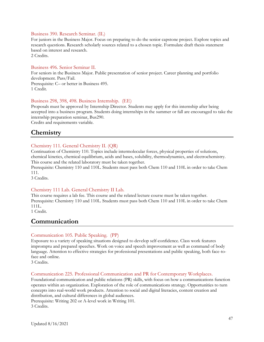### Business 390. Research Seminar. (IL)

For juniors in the Business Major. Focus on preparing to do the senior capstone project. Explore topics and research questions. Research scholarly sources related to a chosen topic. Formulate draft thesis statement based on interest and research.

2 Credits.

#### Business 496. Senior Seminar II.

For seniors in the Business Major. Public presentation of senior project. Career planning and portfolio development. Pass/Fail. Prerequisite: C– or better in Business 495. 1 Credit.

#### Business 298, 398, 498. Business Internship. (EE)

Proposals must be approved by Internship Director. Students may apply for this internship after being accepted into a business program. Students doing internships in the summer or fall are encouraged to take the internship preparation seminar, Bus290.

Credits and requirements variable.

### <span id="page-46-0"></span>**Chemistry**

#### Chemistry 111. General Chemistry II. (QR)

Continuation of Chemistry 110. Topics include intermolecular forces, physical properties of solutions, chemical kinetics, chemical equilibrium, acids and bases, solubility, thermodynamics, and electrochemistry. This course and the related laboratory must be taken together.

Prerequisite: Chemistry 110 and 110L. Students must pass both Chem 110 and 110L in order to take Chem 111.

3 Credits.

#### Chemistry 111 Lab. General Chemistry II Lab.

This course requires a lab fee. This course and the related lecture course must be taken together. Prerequisite: Chemistry 110 and 110L. Students must pass both Chem 110 and 110L in order to take Chem 111L.

<span id="page-46-1"></span>1 Credit.

### **Communication**

#### Communication 105. Public Speaking. (PP)

Exposure to a variety of speaking situations designed to develop self-confidence. Class work features impromptu and prepared speeches. Work on voice and speech improvement as well as command of body language. Attention to effective strategies for professional presentations and public speaking, both face-toface and online.

3 Credits.

#### Communication 225. Professional Communication and PR for Contemporary Workplaces.

Foundational communication and public relations (PR) skills, with focus on how a communications function operates within an organization. Exploration of the role of communications strategy. Opportunities to turn concepts into real-world work products. Attention to social and digital literacies, content creation and distribution, and cultural differences in global audiences.

Prerequisite: Writing 202 or A-level work in Writing 101. 3 Credits.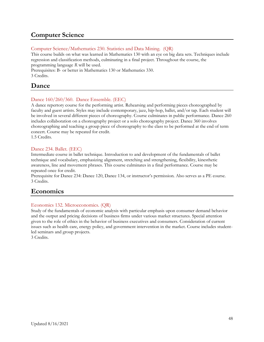### <span id="page-47-0"></span>**Computer Science**

### Computer Science/Mathematics 230. Statistics and Data Mining. (QR)

This course builds on what was learned in Mathematics 130 with an eye on big data sets. Techniques include regression and classification methods, culminating in a final project. Throughout the course, the programming language *R* will be used.

Prerequisites: B- or better in Mathematics 130 or Mathematics 330. 3 Credits.

### <span id="page-47-1"></span>**Dance**

### Dance 160/260/360. Dance Ensemble. (EEC)

A dance repertory course for the performing artist. Rehearsing and performing pieces choreographed by faculty and guest artists. Styles may include contemporary, jazz, hip-hop, ballet, and/or tap. Each student will be involved in several different pieces of choreography. Course culminates in public performance. Dance 260 includes collaboration on a choreography project or a solo choreography project. Dance 360 involves choreographing and teaching a group piece of choreography to the class to be performed at the end of term concert. Course may be repeated for credit.

1.5 Credits.

### Dance 234. Ballet. (EEC)

Intermediate course in ballet technique. Introduction to and development of the fundamentals of ballet technique and vocabulary, emphasizing alignment, stretching and strengthening, flexibility, kinesthetic awareness, line and movement phrases. This course culminates in a final performance. Course may be repeated once for credit.

Prerequisite for Dance 234: Dance 120, Dance 134, or instructor's permission. Also serves as a PE course. 3 Credits.

### <span id="page-47-2"></span>**Economics**

### Economics 132. Microeconomics. (QR)

Study of the fundamentals of economic analysis with particular emphasis upon consumer demand behavior and the output and pricing decisions of business firms under various market structures. Special attention given to the role of ethics in the behavior of business executives and consumers. Consideration of current issues such as health care, energy policy, and government intervention in the market. Course includes studentled seminars and group projects.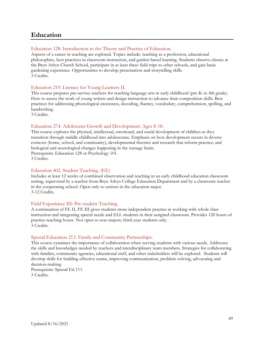### <span id="page-48-0"></span>**Education**

### Education 128. Introduction to the Theory and Practice of Education.

Aspects of a career in teaching are explored. Topics include: teaching as a profession, educational philosophies, best practices in classroom instruction, and garden-based learning. Students observe classes at the Bryn Athyn Church School, participate in at least three field trips to other schools, and gain basic gardening experience. Opportunities to develop presentation and storytelling skills. 3 Credits.

### Education 219. Literacy for Young Learners II.

This course prepares pre-service teachers for teaching language arts in early childhood (pre-K to 4th grade). How to assess the work of young writers and design instruction to advance their composition skills. Best practices for addressing phonological awareness, decoding, fluency, vocabulary, comprehension, spelling, and handwriting.

3 Credits.

#### Education 274. Adolescent Growth and Development: Ages 8-18.

This course explores the physical, intellectual, emotional, and social development of children as they transition through middle childhood into adolescence. Emphasis on how development occurs in diverse contexts (home, school, and community); developmental theories and research that inform practice; and biological and neurological changes happening in the teenage brain. Prerequisite: Education 128 or Psychology 101.

3 Credits.

#### Education 402. Student Teaching. (EE)

Includes at least 12 weeks of combined observation and teaching in an early childhood education classroom setting, supervised by a teacher from Bryn Athyn College Education Department and by a classroom teacher in the cooperating school. Open only to seniors in the education major. 3-12 Credits.

#### Field Experience III: Pre-student Teaching.

A continuation of FE II, FE III gives students more independent practice in working with whole class instruction and integrating special needs and ELL students in their assigned classroom. Provides 120 hours of practice teaching hours. Not open to non-majors; third-year students only. 3 Credits.

### Special Education 213. Family and Community Partnerships.

This course examines the importance of collaboration when serving students with various needs. Addresses the skills and knowledges needed by teachers and interdisciplinary team members. Strategies for collaborating with families, community agencies, educational staff, and other stakeholders will be explored. Students will develop skills for building effective teams, improving communication, problem-solving, advocating and decision-making.

Prerequisite: Special Ed 111. 3 Credits.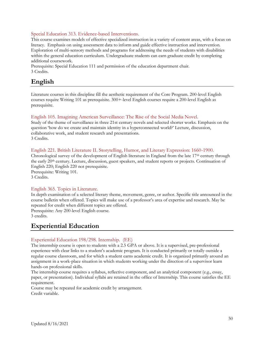### Special Education 313. Evidence-based Interventions.

This course examines models of effective specialized instruction in a variety of content areas, with a focus on literacy. Emphasis on using assessment data to inform and guide effective instruction and intervention. Exploration of multi-sensory methods and programs for addressing the needs of students with disabilities within the general education curriculum. Undergraduate students can earn graduate credit by completing additional coursework.

Prerequisite: Special Education 111 and permission of the education department chair. 3 Credits.

### <span id="page-49-0"></span>**English**

Literature courses in this discipline fill the aesthetic requirement of the Core Program. 200-level English courses require Writing 101 as prerequisite. 300+-level English courses require a 200-level English as prerequisite.

### English 105. Imagining American Surveillance: The Rise of the Social Media Novel.

Study of the theme of surveillance in three 21st century novels and selected shorter works. Emphasis on the question 'how do we create and maintain identity in a hyperconnected world?' Lecture, discussion, collaborative work, and student research and presentations. 3 Credits.

#### English 221. British Literature II. Storytelling, Humor, and Literary Expression: 1660-1900.

Chronological survey of the development of English literature in England from the late  $17<sup>th</sup>$  century through the early 20th century. Lecture, discussion, guest speakers, and student reports or projects. Continuation of English 220; English 220 not prerequisite. Prerequisite: Writing 101.

3 Credits.

### English 365. Topics in Literature.

In depth examination of a selected literary theme, movement, genre, or author. Specific title announced in the course bulletin when offered. Topics will make use of a professor's area of expertise and research. May be repeated for credit when different topics are offered.

Prerequisite: Any 200-level English course. 3 credits.

### <span id="page-49-1"></span>**Experiential Education**

### Experiential Education 198/298. Internship. (EE)

The internship course is open to students with a 2.5 GPA or above. It is a supervised, pre-professional experience with clear links to a student's academic program. It is conducted primarily or totally outside a regular course classroom, and for which a student earns academic credit. It is organized primarily around an assignment in a work-place situation in which students working under the direction of a supervisor learn hands-on professional skills.

The internship course requires a syllabus, reflective component, and an analytical component (e.g., essay, paper, or presentation). Individual syllabi are retained in the office of Internship. This course satisfies the EE requirement.

Course may be repeated for academic credit by arrangement. Credit variable.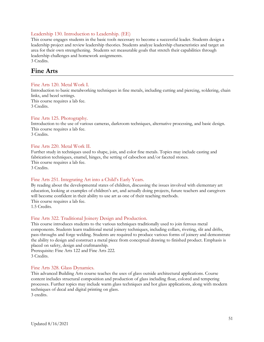### Leadership 130. Introduction to Leadership. (EE)

This course engages students in the basic tools necessary to become a successful leader. Students design a leadership project and review leadership theories. Students analyze leadership characteristics and target an area for their own strengthening. Students set measurable goals that stretch their capabilities through leadership challenges and homework assignments. 3 Credits.

### <span id="page-50-0"></span>**Fine Arts**

### Fine Arts 120. Metal Work I.

Introduction to basic metalworking techniques in fine metals, including cutting and piercing, soldering, chain links, and bezel settings. This course requires a lab fee. 3 Credits.

### Fine Arts 125. Photography.

Introduction to the use of various cameras, darkroom techniques, alternative processing, and basic design. This course requires a lab fee. 3 Credits.

### Fine Arts 220. Metal Work II.

Further study in techniques used to shape, join, and color fine metals. Topics may include casting and fabrication techniques, enamel, hinges, the setting of cabochon and/or faceted stones. This course requires a lab fee. 3 Credits.

### Fine Arts 251. Integrating Art into a Child's Early Years.

By reading about the developmental states of children, discussing the issues involved with elementary art education, looking at examples of children's art, and actually doing projects, future teachers and caregivers will become confident in their ability to use art as one of their teaching methods. This course requires a lab fee. 1.5 Credits.

### Fine Arts 322. Traditional Joinery Design and Production.

This course introduces students to the various techniques traditionally used to join ferrous metal components. Students learn traditional metal joinery techniques, including collars, riveting, slit and drifts, pass-throughs and forge welding. Students are required to produce various forms of joinery and demonstrate the ability to design and construct a metal piece from conceptual drawing to finished product. Emphasis is placed on safety, design and craftmanship.

Prerequisite: Fine Arts 122 and Fine Arts 222. 3 Credits.

### Fine Arts 328. Glass Dynamics.

This advanced Building Arts course teaches the uses of glass outside architectural applications. Course content includes structural composition and production of glass including float, colored and tempering processes. Further topics may include warm glass techniques and hot glass applications, along with modern techniques of decal and digital printing on glass. 3 credits.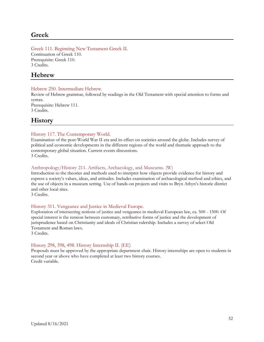### <span id="page-51-0"></span>**Greek**

Greek 111. Beginning New Testament Greek II. Continuation of Greek 110. Prerequisite: Greek 110. 3 Credits.

### <span id="page-51-1"></span>**Hebrew**

### Hebrew 250. Intermediate Hebrew.

Review of Hebrew grammar, followed by readings in the Old Testament with special attention to forms and syntax. Prerequisite: Hebrew 111. 3 Credits.

<span id="page-51-2"></span>**History**

### History 117. The Contemporary World.

Examination of the post-World War II era and its effect on societies around the globe. Includes survey of political and economic developments in the different regions of the world and thematic approach to the contemporary global situation. Current events discussions. 3 Credits.

### Anthropology/History 211. Artifacts, Archaeology, and Museums. (W)

Introduction to the theories and methods used to interpret how objects provide evidence for history and express a society's values, ideas, and attitudes. Includes examination of archaeological method and ethics, and the use of objects in a museum setting. Use of hands-on projects and visits to Bryn Athyn's historic district and other local sites.

3 Credits.

### History 311. Vengeance and Justice in Medieval Europe.

Exploration of intersecting notions of justice and vengeance in medieval European law, ca. 500 - 1500. Of special interest is the tension between customary, retributive forms of justice and the development of jurisprudence based on Christianity and ideals of Christian rulership. Includes a survey of select Old Testament and Roman laws.

3 Credits.

### History 298, 398, 498. History Internship II. (EE)

Proposals must be approved by the appropriate department chair. History internships are open to students in second year or above who have completed at least two history courses. Credit variable.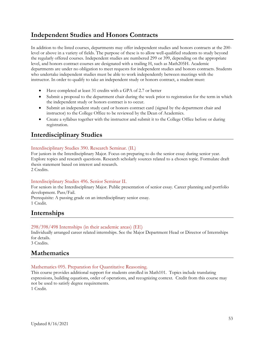### <span id="page-52-0"></span>**Independent Studies and Honors Contracts**

In addition to the listed courses, departments may offer independent studies and honors contracts at the 200 level or above in a variety of fields. The purpose of these is to allow well-qualified students to study beyond the regularly offered courses. Independent studies are numbered 299 or 399, depending on the appropriate level, and honors contract courses are designated with a trailing H, such as Math205H. Academic departments are under no obligation to meet requests for independent studies and honors contracts. Students who undertake independent studies must be able to work independently between meetings with the instructor. In order to qualify to take an independent study or honors contract, a student must:

- Have completed at least 31 credits with a GPA of 2.7 or better
- Submit a proposal to the department chair during the week prior to registration for the term in which the independent study or honors contract is to occur.
- Submit an independent study card or honors contract card (signed by the department chair and instructor) to the College Office to be reviewed by the Dean of Academics.
- Create a syllabus together with the instructor and submit it to the College Office before or during registration.

### <span id="page-52-1"></span>**Interdisciplinary Studies**

### Interdisciplinary Studies 390. Research Seminar. (IL)

For juniors in the Interdisciplinary Major. Focus on preparing to do the senior essay during senior year. Explore topics and research questions. Research scholarly sources related to a chosen topic. Formulate draft thesis statement based on interest and research. 2 Credits.

### Interdisciplinary Studies 496. Senior Seminar II.

For seniors in the Interdisciplinary Major. Public presentation of senior essay. Career planning and portfolio development. Pass/Fail.

Prerequisite: A passing grade on an interdisciplinary senior essay. 1 Credit.

### <span id="page-52-2"></span>**Internships**

### 298/398/498 Internships (in their academic areas) (EE)

Individually arranged career related internships. See the Major Department Head or Director of Internships for details.

3 Credits.

### <span id="page-52-3"></span>**Mathematics**

### Mathematics 095. Preparation for Quantitative Reasoning.

This course provides additional support for students enrolled in Math101. Topics include translating expressions, building equations, order of operations, and recognizing context. Credit from this course may not be used to satisfy degree requirements.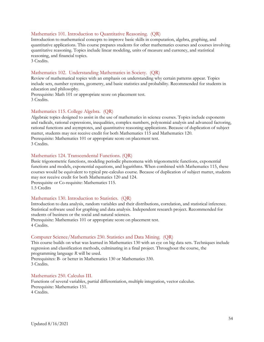#### Mathematics 101. Introduction to Quantitative Reasoning. (QR)

Introduction to mathematical concepts to improve basic skills in computation, algebra, graphing, and quantitative applications. This course prepares students for other mathematics courses and courses involving quantitative reasoning. Topics include linear modeling, units of measure and currency, and statistical reasoning, and financial topics.

3 Credits.

#### Mathematics 102. Understanding Mathematics in Society. (QR)

Review of mathematical topics with an emphasis on understanding why certain patterns appear. Topics include sets, number systems, geometry, and basic statistics and probability. Recommended for students in education and philosophy.

Prerequisite: Math 101 or appropriate score on placement test. 3 Credits.

#### Mathematics 115. College Algebra. (QR)

Algebraic topics designed to assist in the use of mathematics in science courses. Topics include exponents and radicals, rational expressions, inequalities, complex numbers, polynomial analysis and advanced factoring, rational functions and asymptotes, and quantitative reasoning applications. Because of duplication of subject matter, students may not receive credit for both Mathematics 115 and Mathematics 120. Prerequisite: Mathematics 101 or appropriate score on placement test. 3 Credits.

#### Mathematics 124. Transcendental Functions. (QR)

Basic trigonometric functions, modeling periodic phenomena with trigonometric functions, exponential functions and models, exponential equations, and logarithms. When combined with Mathematics 115, these courses would be equivalent to typical pre-calculus course. Because of duplication of subject matter, students may not receive credit for both Mathematics 120 and 124. Prerequisite or Co-requisite: Mathematics 115.

1.5 Credits

#### Mathematics 130. Introduction to Statistics. (QR)

Introduction to data analysis, random variables and their distributions, correlation, and statistical inference. Statistical software used for graphing and data analysis. Independent research project. Recommended for students of business or the social and natural sciences.

Prerequisite: Mathematics 101 or appropriate score on placement test. 4 Credits.

#### Computer Science/Mathematics 230. Statistics and Data Mining. (QR)

This course builds on what was learned in Mathematics 130 with an eye on big data sets. Techniques include regression and classification methods, culminating in a final project. Throughout the course, the programming language *R* will be used.

Prerequisites: B- or better in Mathematics 130 or Mathematics 330. 3 Credits.

Mathematics 250. Calculus III. Functions of several variables, partial differentiation, multiple integration, vector calculus. Prerequisite: Mathematics 151. 4 Credits.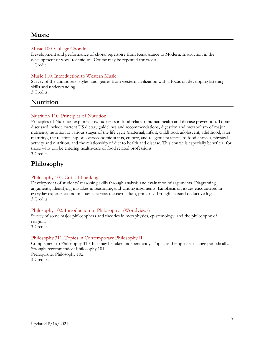### <span id="page-54-0"></span>**Music**

### Music 100. College Chorale.

Development and performance of choral repertoire from Renaissance to Modern. Instruction in the development of vocal techniques. Course may be repeated for credit. 1 Credit.

### Music 110. Introduction to Western Music.

Survey of the composers, styles, and genres from western civilization with a focus on developing listening skills and understanding.

3 Credits.

### <span id="page-54-1"></span>**Nutrition**

### Nutrition 110. Principles of Nutrition.

Principles of Nutrition explores how nutrients in food relate to human health and disease prevention. Topics discussed include current US dietary guidelines and recommendations, digestion and metabolism of major nutrients, nutrition at various stages of the life cycle (maternal, infant, childhood, adolescent, adulthood, later maturity), the relationship of socioeconomic status, culture, and religious practices to food choices, physical activity and nutrition, and the relationship of diet to health and disease. This course is especially beneficial for those who will be entering health-care or food related professions.

<span id="page-54-2"></span>3 Credits.

### **Philosophy**

### Philosophy 101. Critical Thinking.

Development of students' reasoning skills through analysis and evaluation of arguments. Diagraming arguments, identifying mistakes in reasoning, and writing arguments. Emphasis on issues encountered in everyday experience and in courses across the curriculum, primarily through classical deductive logic. 3 Credits.

### Philosophy 102. Introduction to Philosophy. (Worldviews)

Survey of some major philosophers and theories in metaphysics, epistemology, and the philosophy of religion.

3 Credits.

### Philosophy 311. Topics in Contemporary Philosophy II.

Complement to Philosophy 310, but may be taken independently. Topics and emphases change periodically. Strongly recommended: Philosophy 101. Prerequisite: Philosophy 102. 3 Credits.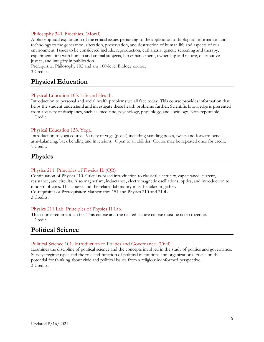### Philosophy 340. Bioethics. (Moral)

A philosophical exploration of the ethical issues pertaining to the application of biological information and technology to the generation, alteration, preservation, and destruction of human life and aspects of our environment. Issues to be considered include: reproduction, euthanasia, genetic screening and therapy, experimentation with human and animal subjects, bio enhancement, ownership and nature, distributive justice, and integrity in publication.

Prerequisite: Philosophy 102 and any 100-level Biology course. 3 Credits.

### <span id="page-55-0"></span>**Physical Education**

### Physical Education 103. Life and Health.

Introduction to personal and social health problems we all face today. This course provides information that helps the student understand and investigate these health problems further. Scientific knowledge is presented from a variety of disciplines, such as, medicine, psychology, physiology, and sociology. Non-repeatable. 1 Credit.

### Physical Education 133. Yoga.

Introduction to yoga course. Variety of yoga (poses) including standing poses, twists and forward bends, arm-balancing, back bending and inversions. Open to all abilities. Course may be repeated once for credit. 1 Credit.

### <span id="page-55-1"></span>**Physics**

### Physics 211. Principles of Physics II. (QR)

Continuation of Physics 210. Calculus-based introduction to classical electricity, capacitance, current, resistance, and circuits. Also magnetism, inductance, electromagnetic oscillations, optics, and introduction to modern physics. This course and the related laboratory must be taken together. Co-requisites or Prerequisites: Mathematics 151 and Physics 210 and 210L. 3 Credits.

### Physics 211 Lab. Principles of Physics II Lab.

This course requires a lab fee. This course and the related lecture course must be taken together. 1 Credit.

### <span id="page-55-2"></span>**Political Science**

### Political Science 101. Introduction to Politics and Governance. (Civil)

<span id="page-55-3"></span>Examines the discipline of political science and the concepts involved in the study of politics and governance. Surveys regime types and the role and function of political institutions and organizations. Focus on the potential for thinking about civic and political issues from a religiously-informed perspective. 3 Credits.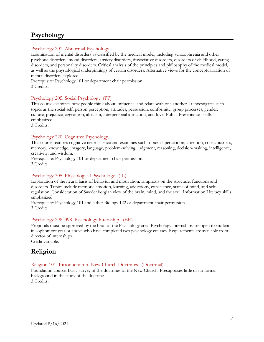### **Psychology**

### Psychology 201. Abnormal Psychology.

Examination of mental disorders as classified by the medical model, including schizophrenia and other psychotic disorders, mood disorders, anxiety disorders, dissociative disorders, disorders of childhood, eating disorders, and personality disorders. Critical analysis of the principles and philosophy of the medical model, as well as the physiological underpinnings of certain disorders. Alternative views for the conceptualization of mental disorders explored.

Prerequisite: Psychology 101 or department chair permission. 3 Credits.

### Psychology 205. Social Psychology. (PP)

This course examines how people think about, influence, and relate with one another. It investigates such topics as the social self, person perception, attitudes, persuasion, conformity, group processes, gender, culture, prejudice, aggression, altruism, interpersonal attraction, and love. Public Presentation skills emphasized.

3 Credits.

### Psychology 220. Cognitive Psychology.

This course features cognitive neuroscience and examines such topics as perception, attention, consciousness, memory, knowledge, imagery, language, problem-solving, judgment, reasoning, decision-making, intelligence, creativity, and wisdom.

Prerequisite: Psychology 101 or department chair permission. 3 Credits.

### Psychology 305. Physiological Psychology. (IL)

Exploration of the neural basis of behavior and motivation. Emphasis on the structure, functions and disorders. Topics include memory, emotion, learning, addictions, conscience, states of mind, and selfregulation. Consideration of Swedenborgian view of the brain, mind, and the soul. Information Literacy skills emphasized.

Prerequisite: Psychology 101 and either Biology 122 or department chair permission. 3 Credits.

### Psychology 298, 398. Psychology Internship. (EE)

Proposals must be approved by the head of the Psychology area. Psychology internships are open to students in sophomore year or above who have completed two psychology courses. Requirements are available from director of internships. Credit variable.

<span id="page-56-0"></span>

### **Religion**

### Religion 101. Introduction to New Church Doctrines. (Doctrinal)

Foundation course. Basic survey of the doctrines of the New Church. Presupposes little or no formal background in the study of the doctrines. 3 Credits.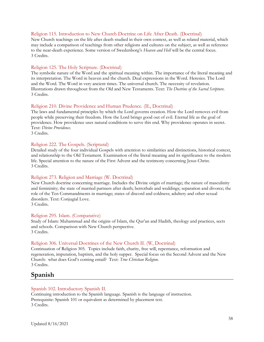#### Religion 115. Introduction to New Church Doctrine on Life After Death. (Doctrinal)

New Church teachings on the life after death studied in their own context, as well as related material, which may include a comparison of teachings from other religions and cultures on the subject, as well as reference to the near-death experience. Some version of Swedenborg's *Heaven and Hell* will be the central focus. 3 Credits.

#### Religion 125. The Holy Scripture. (Doctrinal)

The symbolic nature of the Word and the spiritual meaning within. The importance of the literal meaning and its interpretation. The Word in heaven and the church. Dual expressions in the Word. Heresies. The Lord and the Word. The Word in very ancient times. The universal church. The necessity of revelation. Illustrations drawn throughout from the Old and New Testaments. Text: *The Doctrine of the Sacred Scripture*. 3 Credits.

#### Religion 210. Divine Providence and Human Prudence. (IL, Doctrinal)

The laws and fundamental principles by which the Lord governs creation. How the Lord removes evil from people while preserving their freedom. How the Lord brings good out of evil. Eternal life as the goal of providence. How providence uses natural conditions to serve this end. Why providence operates in secret. Text: *Divine Providence*.

3 Credits.

#### Religion 222. The Gospels. (Scriptural)

Detailed study of the four individual Gospels with attention to similarities and distinctions, historical context, and relationship to the Old Testament. Examination of the literal meaning and its significance to the modern life. Special attention to the nature of the First Advent and the testimony concerning Jesus Christ. 3 Credits.

### Religion 273. Religion and Marriage (W. Doctrinal)

New Church doctrine concerning marriage. Includes the Divine origin of marriage; the nature of masculinity and femininity; the state of married partners after death; betrothals and weddings; separation and divorce; the role of the Ten Commandments in marriage; states of discord and coldness; adultery and other sexual disorders. Text: Conjugial Love.

3 Credits.

#### Religion 295. Islam. (Comparative)

Study of Islam: Muhammad and the origins of Islam, the Qur'an and Hadith, theology and practices, sects and schools. Comparison with New Church perspective. 3 Credits.

#### Religion 306. Universal Doctrines of the New Church II. (W, Doctrinal)

Continuation of Religion 305. Topics include faith, charity, free will, repentance, reformation and regeneration, imputation, baptism, and the holy supper. Special focus on the Second Advent and the New Church: what does God's coming entail? Text: *True Christian Religion*. 3 Credits.

### <span id="page-57-0"></span>**Spanish**

#### Spanish 102. Introductory Spanish II.

Continuing introduction to the Spanish language. Spanish is the language of instruction. Prerequisite: Spanish 101 or equivalent as determined by placement test. 3 Credits.